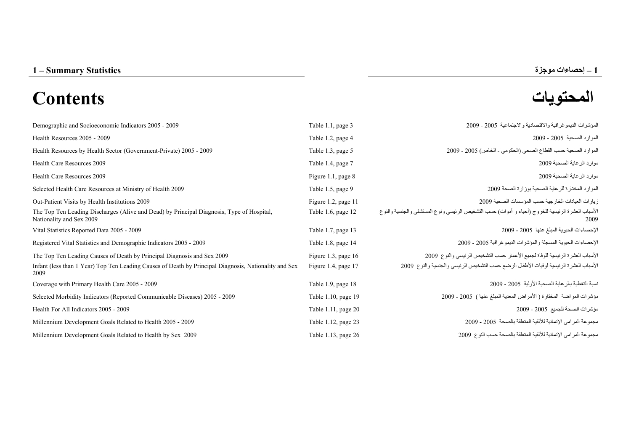1 – Summary Statistics

# **المحتويات Contents**



| Demographic and Socioeconomic Indicators 2005 - 2009                                                                                                                                     | Table 1.1, page 3                            | المؤشرات الديموغرافية والاقتصادية والاجتماعية 2005 ـ 2009                                                                                                             |
|------------------------------------------------------------------------------------------------------------------------------------------------------------------------------------------|----------------------------------------------|-----------------------------------------------------------------------------------------------------------------------------------------------------------------------|
| Health Resources 2005 - 2009                                                                                                                                                             | Table 1.2, page 4                            | الموارد الصحية 2005 - 2009                                                                                                                                            |
| Health Resources by Health Sector (Government-Private) 2005 - 2009                                                                                                                       | Table 1.3, page 5                            | الموارد الصحية حسب القطاع الصحى (الحكومي - الخاص) 2005 - 2009                                                                                                         |
| Health Care Resources 2009                                                                                                                                                               | Table 1.4, page 7                            | موارد الر عاية الصحية 2009                                                                                                                                            |
| Health Care Resources 2009                                                                                                                                                               | Figure 1.1, page 8                           | موارد الرعاية الصحية 2009                                                                                                                                             |
| Selected Health Care Resources at Ministry of Health 2009                                                                                                                                | Table 1.5, page 9                            | الموارد المختارة للرعاية الصحية بوزارة الصحة 2009                                                                                                                     |
| Out-Patient Visits by Health Institutions 2009                                                                                                                                           | Figure 1.2, page 11                          | زيارات العيادات الخارجية حسب المؤسسات الصحية 2009                                                                                                                     |
| The Top Ten Leading Discharges (Alive and Dead) by Principal Diagnosis, Type of Hospital,<br>Nationality and Sex 2009                                                                    | Table 1.6, page 12                           | الأسباب العشرة الرئيسية للخروج (أحياء و أموات) حسب التشخيص الرئيسي ونوع المستشفى والجنسية والنوع<br>2009                                                              |
| Vital Statistics Reported Data 2005 - 2009                                                                                                                                               | Table 1.7, page 13                           | الإحصاءات الحيوية المبلغ عنها 2005 - 2009                                                                                                                             |
| Registered Vital Statistics and Demographic Indicators 2005 - 2009                                                                                                                       | Table 1.8, page 14                           | الإحصاءات الحيوية المسجلة والمؤشرات الديمو غرافية 2005 - 2009                                                                                                         |
| The Top Ten Leading Causes of Death by Principal Diagnosis and Sex 2009<br>Infant (less than 1 Year) Top Ten Leading Causes of Death by Principal Diagnosis, Nationality and Sex<br>2009 | Figure 1.3, page $16$<br>Figure 1.4, page 17 | الأسباب العشرة الرئيسية للوفاة لجميع الأعمار حسب التشخيص الرئيسي والنوع 2009<br>الأسباب العشرة الرئيسية لوفيات الأطفال الرضع حسب التشخيص الرئيسي والجنسية والنوع 2009 |
| Coverage with Primary Health Care 2005 - 2009                                                                                                                                            | Table 1.9, page 18                           | نسبة التغطية بالر عاية الصحية الأولية 2005 - 2009                                                                                                                     |
| Selected Morbidity Indicators (Reported Communicable Diseases) 2005 - 2009                                                                                                               | Table 1.10, page 19                          | مؤشرات المراضة المختارة (الأمراض المعدية المبلغ عنها ) 2005 - 2009                                                                                                    |
| Health For All Indicators 2005 - 2009                                                                                                                                                    | Table 1.11, page 20                          | مؤشرات الصحة للجميع 2005 - 2009                                                                                                                                       |
| Millennium Development Goals Related to Health 2005 - 2009                                                                                                                               | Table 1.12, page 23                          | مجموعة المرامي الإنمائية للألفية المتعلقة بالصحة 2005 - 2009                                                                                                          |
| Millennium Development Goals Related to Health by Sex 2009                                                                                                                               | Table 1.13, page 26                          | مجموعة المرامي الإنمائية للألفية المتعلقة بالصحة حسب النوع 2009                                                                                                       |

**–**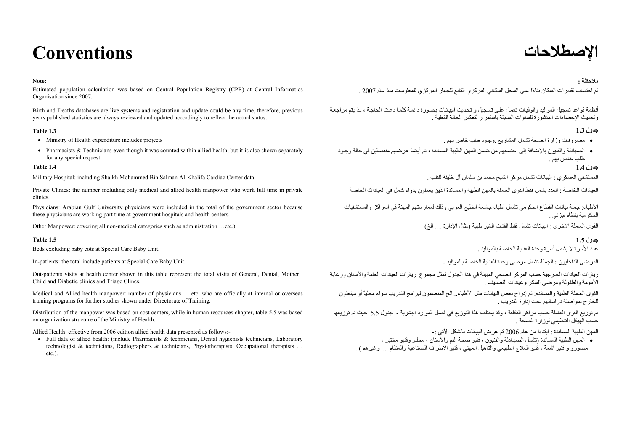# **الإصطلاحات Conventions**

#### **Note:**

Estimated population calculation was based on Central Population Registry (CPR) at Central Informatics Organisation since 2007.

Birth and Deaths databases are live systems and registration and update could be any time, therefore, previous years published statistics are always reviewed and updated accordingly to reflect the actual status.

- 
- Pharmacists & Technicians even though it was counted within allied health, but it is also shown separately for any special request.

المستشفى العسكري : البيانات تشمل مركز الشيخ محمد بن سلمان آل خليفة للقلب . . . Military Hospital: including Shaikh Mohammed Bin Salman Al-Khalifa Cardiac Center data

Private Clinics: the number including only medical and allied health manpower who work full time in private clinics.

Physicians: Arabian Gulf University physicians were included in the total of the government sector because these physicians are working part time at government hospitals and health centers.

القوى العاملة الأخرى : البيانات تشمل فقط الفئات الغير طبية (مثال الإدارة ... الخ) . (... الخبر الغير طبية (مثال الإدارة ... الخ) . .. الخبر الخبر الخبر الخبر الخبر الخبر الخبر الخبر الخبر الخبر الخبر الخبر الخبر الخبر الخ

#### **جدول 1.5 1.5 Table**

Beds excluding baby cots at Special Care Baby Unit.

Out-patients visits at health center shown in this table represent the total visits of General, Dental, Mother , Child and Diabetic clinics and Triage Clincs.

Medical and Allied health manpower: number of physicians … etc. who are officially at internal or overseas training programs for further studies shown under Directorate of Training.

Distribution of the manpower was based on cost centers, while in human resources chapter, table 5.5 was based on organization structure of the Ministry of Health.

Allied Health: effective from 2006 edition allied health data presented as follows:-

• Full data of allied health: (include Pharmacists & technicians, Dental hygienists technicians, Laboratory technologist & technicians, Radiographers & technicians, Physiotherapists, Occupational therapists … etc.).

#### **ملاحظة :**

تم احتساب تقدير ات السكان بناءًا على السجل السكاني المركز ي التابع للجهاز المركز ي للمعلومات منذ عام 2007 .

أنظمة قواعد تسجيل المواليد والوفيات تعمل علمي تسجيل و تحديث البيانات بصورة دائمة كلما دعت الحاجة ، لذ يتم مراجعة وتحديث الإحصاءات المنشورة للسنوات السابقة باستمرار لتعكس الحالة الفعلية .

#### **جدول 1.3 1.3 Table**

- مصروفات وزارة الصحة تشمل المشاريع .وجـود طلب خاص بهم . projects includes expenditure Health of Ministry•
	- الصيادلة والفنيون بالإضافة إلى احتسابهم من ضمن المهن الطبية المساندة ، تم أيضاً عرضهم منفصلين في حالة وجـود طلب خاص بهم .

#### **جدول 1.4 1.4 Table**

العيادات الخاصة : العدد يشمل فقط القوى العاملة بالمهن الطبية والمساندة الذين يعملون بدوام كامل في العيادات الخاصة .

الأطباء: جملة بيانات القطاع الحكومي تشمل أطباء جامعة الخليج العربي وذلك لممارستهم المهنة في المراآز والمستشفيات الحكومية بنظام جزئي .

عدد الأسر ة لا يشمل أسر ة وحدة العناية الخاصية بالمو البد

In-patients: the total include patients at Special Care Baby Unit. . بالمواليد الخاصة العناية وحدة مرضى تشمل الجملة : الداخليون المرضى

زيارات العيادات الخارجية حسب المركز الصحي المبينة في هذا الجدول تمثل مجموع زيارات العيادات العامة والأسنان ورعاية الأمومة والطفولة ومرضى السكر وعيادات التصنيف .

القوى العاملة الطبية والمساندة: تم إدراج بعض البيانات مثل الأطباء...الخ المنضمون لبرامج التدريب سواء محلياً أو مبتعثون للخارج لمواصلة دراساتهم تحت إدارة التدريب .

تم توزيع القوى العاملة حسب مراآز التكلفة ، وقد يختلف هذا التوزيع في فصل الموارد البشرية - جدول 5.5 حيث تم توزيعها . حسب الهيكل التنظيمي لوزارة الصحة

المهن الطبية المساندة : ابتدءا من عام <sup>2006</sup> تم عرض البيانات بالشكل الآتي -:

• المهن الطبية المساندة (تشمل الصيـادلة والفنيون ، فنيو صحة الفم والأسنان ، محللو وفنيو مختبر ، مصورو <sup>و</sup> فنيو أشعة ، فنيو العلاج الطبيعي والتأهيل المهني ، فنيو الأطراف الصناعية والعظام .... وغيرهم ) .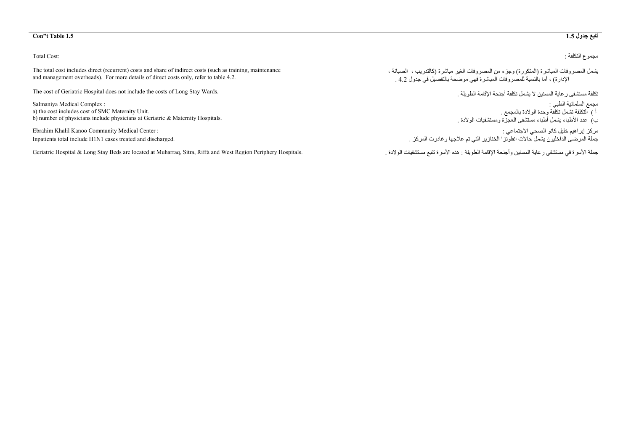#### **Con"t Table 1.5 1.5**

#### Total Cost:

The total cost includes direct (recurrent) costs and share of indirect costs (such as training, maintenance and management overheads). For more details of direct costs only, refer to table 4.2.

The cost of Geriatric Hospital does not include the costs of Long Stay Wards.

Salmaniya Medical Complex : a) the cost includes cost of SMC Maternity Unit. b) number of physicians include physicians at Geriatric & Maternity Hospitals.

Ebrahim Khalil Kanoo Community Medical Center : Inpatients total include H1N1 cases treated and discharged.

حملة الأسر ة في مستشفى ر عاية المسنين وأجنحة الإقامة الطويلة : هذه الأسرة تتبع مستشفيات الولادة . مستشفيات الولادة الأسرة تتبع مستشفيات الولادة . الأسرة تتبع مستشفيات الولادة الأسرة تتبع مستشفيات الولادة . الأسرة تتبع مست

# **جدول تابع**

مجموع التكلفة :

يشمل المصروفات المباشرة (المتكررة) وجزء من المصروفات الغير مباشرة (آالتدريب ، الصيانة ، الإدارة) ، أما بالنسبة للمصروفات المباشرة فهي موضحة بالتفصيل في جدول 4.2 .

تكلفة مستشفى رعاية المسنين لا يشمل تكلفة أجنحة الإقامة الطويلة .

مجمع السلمانية الطبي : أ ) التكلفة تشمل تكلفة وحدة الولادة بالمجمع . <sup>ب</sup>) عدد الأطباء يشمل أطباء مستشفى العجزة ومستشفيات الولادة .

مركز إبراهيم خليل كانو الصحي الاجتماعي : جملة المرضى الداخليون يشمل حالات انفلونزا الخنازير التي تم علاجها وغادرت المرآز .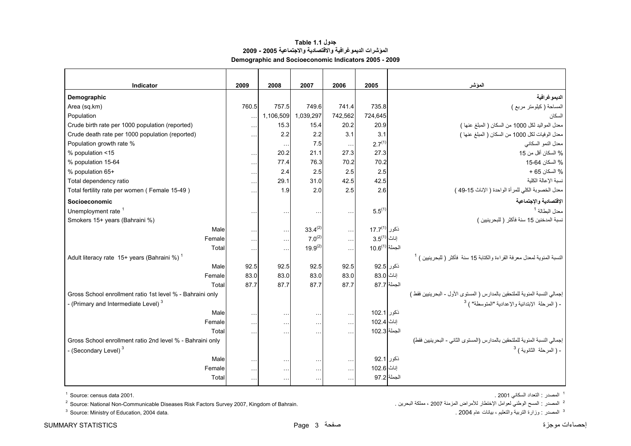### **جدول 1.1 Table المؤشرات الديموغرافية والاقتصادية والاجتماعية 2005 - 2009 Demographic and Socioeconomic Indicators 2005 - 2009**

<span id="page-3-0"></span>

| Indicator                                                 | 2009      | 2008      | 2007          | 2006          | 2005                     | المؤشر                                                                                 |
|-----------------------------------------------------------|-----------|-----------|---------------|---------------|--------------------------|----------------------------------------------------------------------------------------|
| Demographic                                               |           |           |               |               |                          | الديموغرافية                                                                           |
| Area (sq.km)                                              | 760.5     | 757.5     | 749.6         | 741.4         | 735.8                    | المساحة (كيلومتر مربع )                                                                |
| Population                                                |           | 1,106,509 | 1,039,297     | 742,562       | 724,645                  | السكان                                                                                 |
| Crude birth rate per 1000 population (reported)           | $\ldots$  | 15.3      | 15.4          | 20.2          | 20.9                     | معدل المواليد لكل 1000 من السكان ( المبلغ عنها )                                       |
| Crude death rate per 1000 population (reported)           | $\cdots$  | 2.2       | 2.2           | 3.1           | 3.1                      | معدل الوفيات لكل 1000 من السكان ( المبلغ عنها )                                        |
| Population growth rate %                                  |           | $\ddotsc$ | 7.5           | $\ldots$      | 2.7 <sup>(1)</sup>       | معدل النمو السكاني                                                                     |
| % population <15                                          | $\ddotsc$ | 20.2      | 21.1          | 27.3          | 27.3                     | % السكان أقل من 15                                                                     |
| % population 15-64                                        | $\ddotsc$ | 77.4      | 76.3          | 70.2          | 70.2                     | % السكان 64-15                                                                         |
| % population 65+                                          | $\sim$    | 2.4       | 2.5           | 2.5           | 2.5                      | % السكان 65 +                                                                          |
| Total dependency ratio                                    | $\ddotsc$ | 29.1      | 31.0          | 42.5          | 42.5                     | نسبة الإعالة الكلية                                                                    |
| Total fertility rate per women (Female 15-49)             | .         | 1.9       | 2.0           | 2.5           | 2.6                      | معدل الخصوبة الكلي للمرأة الواحدة ( الإناث 15-49 )                                     |
| Socioeconomic                                             |           |           |               |               |                          | الإقتصادية والإجتماعية                                                                 |
| Unemployment rate <sup>1</sup>                            | $\cdots$  | $\ddotsc$ | $\cdot$ .     | $\ddotsc$     | $5.5^{(1)}$              | معدل البطالة <sup>1</sup>                                                              |
| Smokers 15+ years (Bahraini %)                            |           |           |               |               |                          | نسبة المدخنين 15 سنة فأكثر ( للبحرينيين )                                              |
| Male                                                      | $\ldots$  | $\ddotsc$ | $33.4^{(2)}$  | $\ldots$      | ذكور 17.7 <sup>(1)</sup> |                                                                                        |
| Female                                                    | $\ddotsc$ | $\ddotsc$ | $7.0^{(2)}$   | $\ldots$      | $3.5^{(1)}$ أناث         |                                                                                        |
| Total                                                     | $\ddotsc$ | $\ddotsc$ | $19.9^{(2)}$  | $\sim$ .      | $10.6^{(1)}$ الجملة      |                                                                                        |
| Adult literacy rate 15+ years (Bahraini %)                |           |           |               |               |                          | النسبة المئوية لمعدل معرفة القراءة والكتابة 15 سنة  فأكثر  ( للبحرينيين ) <sup>1</sup> |
| Male                                                      | 92.5      | 92.5      | 92.5          | 92.5          | ذكور 92.5                |                                                                                        |
| Female                                                    | 83.0      | 83.0      | 83.0          | 83.0          | إناث 83.0                |                                                                                        |
| Total                                                     | 87.7      | 87.7      | 87.7          | 87.7          | الجملة  87.7             |                                                                                        |
| Gross School enrollment ratio 1st level % - Bahraini only |           |           |               |               |                          | إجمالي النسبة المئوية للملتحقين بالمدارس ( المستوى الأول - البحرينيين فقط )            |
| - (Primary and Intermediate Level) <sup>3</sup>           |           |           |               |               |                          | - (المرحلة الإبتدائية والإعدادية "المتوسطة") <sup>3</sup>                              |
| Male                                                      | $\cdots$  | $\ddotsc$ | $\ddotsc$     | $\ldots$      | ذكور 102.1               |                                                                                        |
| Female                                                    | $\ldots$  | $\ddotsc$ | $\ddotsc$     | $\ldots$      | إناث 102.4               |                                                                                        |
| Total                                                     | .         |           | $\ddotsc$     | $\ddotsc$     | الجملة 102.3             |                                                                                        |
| Gross School enrollment ratio 2nd level % - Bahraini only |           |           |               |               |                          | إجمالي النسبة المئوية للملتحقين بالمدارس (المستوى الثاني - البحرينيين فقط)             |
| - (Secondary Level) <sup>3</sup>                          |           |           |               |               |                          | - ( المرحلة الثانوية ) <sup>3</sup>                                                    |
| Male                                                      | $\ddotsc$ | $\ddotsc$ | $\sim$ $\sim$ | $\sim$ $\sim$ | ذكور 92.1                |                                                                                        |
| Female                                                    | $\cdots$  | $\ddotsc$ | $\ddotsc$     | $\ldots$      | إناث 102.6               |                                                                                        |
| Total                                                     | $\cdots$  | $\ddotsc$ | $\cdots$      | $\cdots$      | الجملة 97.2              |                                                                                        |

 $^2$  Source: National Non-Communicable Diseases Risk Factors Survey 2007, Kingdom of Bahrain. البصدر : المسح الوطني لعوامل الإختطار للأمراض المزمنة 2007 ، مملكة البحرين .

 $3$  Source: Ministry of Education, 2004 data.

إحصاءات موجزة صفحة 3 Page STATISTICS SUMMARY

1 المصدر : التعداد السكاني 2001 . 2001. data census :Source 1

.<br><sup>3</sup> المصدر : وزارة التربية والتعليم ، بيانات عام 2004 .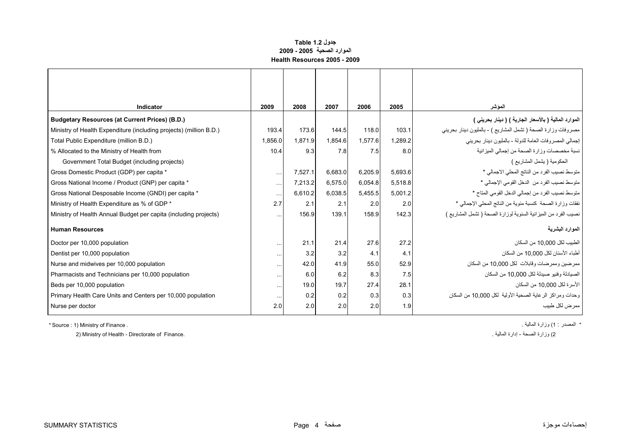#### **جدول 1.2 Table الموارد الصحية 2005 - 2009 Health Resources 2005 - 2009**

<span id="page-4-0"></span>

| Indicator                                                          | 2009     | 2008    | 2007    | 2006    | 2005             | الموشر                                                         |
|--------------------------------------------------------------------|----------|---------|---------|---------|------------------|----------------------------------------------------------------|
| <b>Budgetary Resources (at Current Prices) (B.D.)</b>              |          |         |         |         |                  | الموارد المالية ( بالأسعار الجارية ) ( دينار بحريني )          |
| Ministry of Health Expenditure (including projects) (million B.D.) | 193.4    | 173.6   | 144.5   | 118.0   | 103.1            | مصروفات وزارة الصحة ( تشمل المشاريع ) - بالمليون دينار بحريني  |
| Total Public Expenditure (million B.D.)                            | 1.856.0  | 1.871.9 | 1.854.6 | 1.577.6 | 1.289.2          | إجمالي المصروفات العامة للدولة - بالمليون دينار بحريني         |
| % Allocated to the Ministry of Health from                         | 10.4     | 9.3     | 7.8     | 7.5     | 8.0 <sub>l</sub> | نسبة مخصصات وزارة الصحة من إجمالي الميزانية                    |
| Government Total Budget (including projects)                       |          |         |         |         |                  | الحكومية ( يشمل المشاريع )                                     |
| Gross Domestic Product (GDP) per capita *                          | $\cdots$ | 7,527.1 | 6,683.0 | 6,205.9 | 5,693.6          | متوسط نصيب الفرد من الناتج المحلي الاجمالي *                   |
| Gross National Income / Product (GNP) per capita *                 | $\cdots$ | 7,213.2 | 6,575.0 | 6,054.8 | 5,518.8          | متوسط نصيب الفرد من الدخل القومي الإجمالي *                    |
| Gross National Desposable Income (GNDI) per capita *               | $\cdots$ | 6.610.2 | 6.038.5 | 5.455.5 | 5.001.2          | متوسط نصيب الفرد من إجمالي الدخل القومي المتاح *               |
| Ministry of Health Expenditure as % of GDP *                       | 2.7      | 2.1     | 2.1     | 2.0     | 2.0              | نفقات وزارة الصحة كنسبة مئوية من الناتج المحلي الإجمالي *      |
| Ministry of Health Annual Budget per capita (including projects)   | $\cdots$ | 156.9   | 139.1   | 158.9   | 142.3            | نصيب الفرد من الميزانية السنوية لوزارة الصحة ( تشمل المشاريع ) |
| <b>Human Resources</b>                                             |          |         |         |         |                  | الموارد البشرية                                                |
| Doctor per 10,000 population                                       | $\cdots$ | 21.1    | 21.4    | 27.6    | 27.2             | الطبيب لكل 10,000 من السكان                                    |
| Dentist per 10,000 population                                      | $\cdots$ | 3.2     | 3.2     | 4.1     | 4.1              | أطباء الأسنان لكل 10.000 من السكان                             |
| Nurse and midwives per 10,000 population                           | $\cdots$ | 42.0    | 41.9    | 55.0    | 52.9             | ممرضين وممرضات وقابلات لكل 10,000 من السكان                    |
| Pharmacists and Technicians per 10,000 population                  | $\cdots$ | 6.0     | 6.2     | 8.3     | 7.5              | الصيادلة وفنيو صيدلة لكل 10,000 من السكان                      |
| Beds per 10,000 population                                         | $\cdots$ | 19.0    | 19.7    | 27.4    | 28.1             | الأسر ة لكل 10.000 من السكان                                   |
| Primary Health Care Units and Centers per 10,000 population        | $\cdots$ | 0.2     | 0.2     | 0.3     | 0.3              | وحدات ومراكز الرعاية الصحية الأولية لكل 10,000 من السكان       |
| Nurse per doctor                                                   | 2.0      | 2.0     | 2.0     | 2.0     | 1.9              | ممر ض لكل طبيب                                                 |

\* Source : 1) Ministry of Finance . . المالية وزارة) 1 : المصدر\*

2) Ministry of Health - Directorate of Finance. . . وزارة الصحة - إدارة الصحة - إدارة الصحة - إدارة الصحة - وز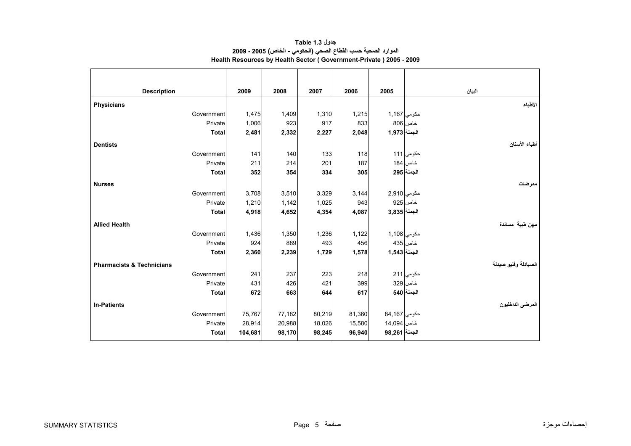<span id="page-5-0"></span>

| <b>Description</b>                   |              | 2009    | 2008   | 2007   | 2006   | 2005           | البيان               |
|--------------------------------------|--------------|---------|--------|--------|--------|----------------|----------------------|
| <b>Physicians</b>                    |              |         |        |        |        |                | الأطباء              |
|                                      | Government   | 1,475   | 1,409  | 1,310  | 1,215  | حكومي 1,167    |                      |
|                                      | Private      | 1,006   | 923    | 917    | 833    |                | خاص 806              |
|                                      | <b>Total</b> | 2,481   | 2,332  | 2,227  | 2,048  | الجملة 1,973   |                      |
| <b>Dentists</b>                      |              |         |        |        |        |                | أطباء الأسنان        |
|                                      | Government   | 141     | 140    | 133    | 118    |                | حكومي 111            |
|                                      | Private      | 211     | 214    | 201    | 187    |                | خاص 184              |
|                                      | <b>Total</b> | 352     | 354    | 334    | 305    |                | الجملة 295           |
| <b>Nurses</b>                        |              |         |        |        |        |                | ممر ضات              |
|                                      | Government   | 3,708   | 3,510  | 3,329  | 3,144  | حكومي 2,910    |                      |
|                                      | Private      | 1,210   | 1,142  | 1,025  | 943    |                | خاص 925              |
|                                      | <b>Total</b> | 4,918   | 4,652  | 4,354  | 4,087  | الجملة 3,835   |                      |
| <b>Allied Health</b>                 |              |         |        |        |        |                | مهن طبية مساندة      |
|                                      | Government   | 1,436   | 1,350  | 1,236  | 1,122  | حكومي 1,108    |                      |
|                                      | Private      | 924     | 889    | 493    | 456    |                | خاص 435              |
|                                      | <b>Total</b> | 2,360   | 2,239  | 1,729  | 1,578  | الجملة 3,543   |                      |
| <b>Pharmacists &amp; Technicians</b> |              |         |        |        |        |                | الصيادلة وفنيو صيدلة |
|                                      | Government   | 241     | 237    | 223    | 218    |                | حكومي 211            |
|                                      | Private      | 431     | 426    | 421    | 399    |                | خاص 329              |
|                                      | <b>Total</b> | 672     | 663    | 644    | 617    |                | الجملة 540           |
| <b>In-Patients</b>                   |              |         |        |        |        |                | المرضى الداخليون     |
|                                      | Government   | 75,767  | 77,182 | 80,219 | 81,360 | حكومي 84,167   |                      |
|                                      | Private      | 28,914  | 20,988 | 18,026 | 15,580 | خاص 14,094     |                      |
|                                      | <b>Total</b> | 104,681 | 98,170 | 98,245 | 96,940 | الجملة  98,261 |                      |

**جدول 1.3 Table الموارد الصحية حسب القطاع الصحي (الحكومي - الخاص) 2005 - 2009 Health Resources by Health Sector ( Government-Private ) 2005 - 2009**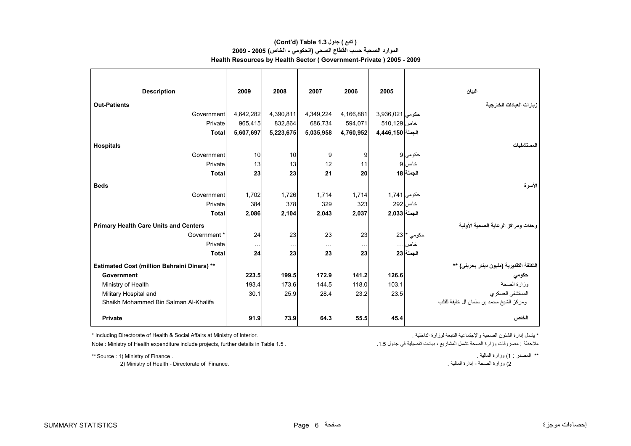# **الموارد الصحية حسب القطاع الصحي (الحكومي - الخاص) 2005 - 2009 Health Resources by Health Sector ( Government-Private ) 2005 - 2009 (Cont'd) Table 1.3 جدول ) تابع(**

| <b>Description</b>                                 | 2009                 | 2008      | 2007      | 2006          | 2005             | البيان                                    |
|----------------------------------------------------|----------------------|-----------|-----------|---------------|------------------|-------------------------------------------|
| <b>Out-Patients</b>                                |                      |           |           |               |                  | زيارات العيادات الخارجية                  |
| <b>Government</b>                                  | 4,642,282            | 4,390,811 | 4,349,224 | 4,166,881     | حكومي 3,936,021  |                                           |
| Private                                            | 965,415              | 832,864   | 686,734   | 594.071       | خاص 510,129      |                                           |
| <b>Total</b>                                       | 5,607,697            | 5,223,675 | 5,035,958 | 4,760,952     | الجملة 4,446,150 |                                           |
| <b>Hospitals</b>                                   |                      |           |           |               |                  | لمستشفيات                                 |
| Government                                         | 10                   | 10        | 9         | 9             |                  | حكومي 9                                   |
| Private                                            | 13                   | 13        | 12        | 11            |                  | $9$ خاص                                   |
| <b>Total</b>                                       | 23                   | 23        | 21        | 20            |                  | الجملة 18                                 |
| <b>Beds</b>                                        |                      |           |           |               |                  | الأسرة                                    |
| Government                                         | 1,702                | 1,726     | 1,714     | 1,714         | حكومي 1,741      |                                           |
| Private                                            | 384                  | 378       | 329       | 323           |                  | خاص 292                                   |
| <b>Total</b>                                       | 2,086                | 2,104     | 2,043     | 2,037         | الجملة 2,033     |                                           |
| <b>Primary Health Care Units and Centers</b>       |                      |           |           |               |                  | وحدات ومراكز الرعاية الصحية الأولية       |
| Government *                                       | 24                   | 23        | 23        | 23            |                  | حكومي * 23                                |
| Private                                            | $\sim$ $\sim$ $\sim$ | $\cdots$  | $\ddotsc$ | $\sim$ $\sim$ |                  | خاص                                       |
| Total                                              | 24                   | 23        | 23        | 23            |                  | الجملة 23                                 |
| <b>Estimated Cost (million Bahraini Dinars) **</b> |                      |           |           |               |                  | التكلفة التقديرية (مليون دينار بحريني) ** |
| Government                                         | 223.5                | 199.5     | 172.9     | 141.2         | 126.6            | حكومي                                     |
| Ministry of Health                                 | 193.4                | 173.6     | 144.5     | 118.0         | 103.1            | وزارة الصحة                               |
| Military Hospital and                              | 30.1                 | 25.9      | 28.4      | 23.2          | 23.5             | المستشفى العسكري                          |
| Shaikh Mohammed Bin Salman Al-Khalifa              |                      |           |           |               |                  | ومركز الشيخ محمد بن سلمان أل خليفة للقلب  |
| <b>Private</b>                                     | 91.9                 | 73.9      | 64.3      | 55.5          | 45.4             | الخاص                                     |

\* Including Directorate of Health & Social Affairs at Ministry of Interior. . الداخلية لوزارة التابعة والإجتماعية الصحية الشئون إدارة يشمل\*

Note : Ministry of Health expenditure include projects, further details in Table 1.5 . .1.5 جدول في تفصيلية بيانات ، المشاريع تشمل الصحة وزارة مصروفات : ملاحظة

2) وزارة الصحة - إدارة المالية .<br>2) Ministry of Health - Directorate of Finance.

\*\* Source : 1) Ministry of Finance . . المالية وزارة) 1 : المصدر\*\*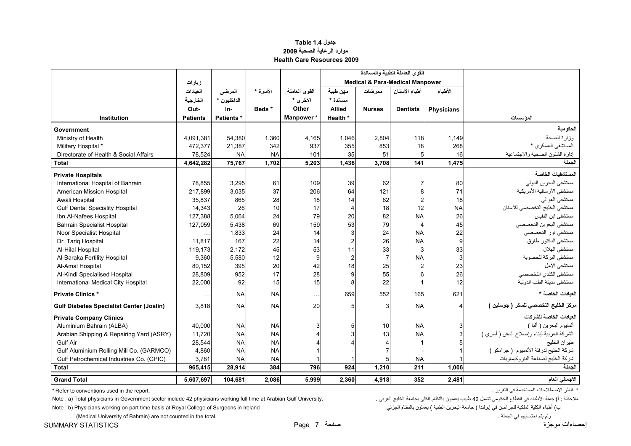#### **جدول 1.4 Table موارد الرعاية الصحية <sup>2009</sup> Health Care Resources 2009**

<span id="page-7-0"></span>

|                                                 |                 |             |           |               |                |                                            | القوى العاملة الطبية والمساندة |                   |                                            |
|-------------------------------------------------|-----------------|-------------|-----------|---------------|----------------|--------------------------------------------|--------------------------------|-------------------|--------------------------------------------|
|                                                 | زيارات          |             |           |               |                | <b>Medical &amp; Para-Medical Manpower</b> |                                |                   |                                            |
|                                                 | العيادات        | المرضى      | الأسرة *  | القوى العاملة | مهن طبية       | ممر ضات                                    | أطباء الأسنان                  | الأطباء           |                                            |
|                                                 | الخارجية        | الداخليون * |           | الاخر ي *     | مسائدة *       |                                            |                                |                   |                                            |
|                                                 | Out-            | In-         | Beds*     | Other         | <b>Allied</b>  | <b>Nurses</b>                              | <b>Dentists</b>                | <b>Physicians</b> |                                            |
| Institution                                     | <b>Patients</b> | Patients *  |           | Manpower*     | Health *       |                                            |                                |                   | المؤسسات                                   |
| Government                                      |                 |             |           |               |                |                                            |                                |                   | الحكو مية                                  |
| Ministry of Health                              | 4,091,381       | 54,380      | 1,360     | 4,165         | 1,046          | 2,804                                      | 118                            | 1,149             | وزارة الصحة                                |
| Military Hospital *                             | 472.377         | 21,387      | 342       | 937           | 355            | 853                                        | 18                             | 268               | المستشفى العسكرى *                         |
| Directorate of Health & Social Affairs          | 78,524          | <b>NA</b>   | <b>NA</b> | 101           | 35             | 51                                         | 5                              | 16                | إدارة الشئون الصحية والإجتماعية            |
| <b>Total</b>                                    | 4,642,282       | 75,767      | 1,702     | 5,203         | 1,436          | 3,708                                      | 141                            | 1,475             | الحملة                                     |
| <b>Private Hospitals</b>                        |                 |             |           |               |                |                                            |                                |                   | المستشفيات الخاصة                          |
| International Hospital of Bahrain               | 78,855          | 3,295       | 61        | 109           | 39             | 62                                         | $\overline{7}$                 | 80                | مستشفى البحرين الدولي                      |
| American Mission Hospital                       | 217,899         | 3,035       | 37        | 206           | 64             | 121                                        | 8                              | 71                | مستشفى الأرسالية الأمريكية                 |
| Awali Hospital                                  | 35,837          | 865         | 28        | 18            | 14             | 62                                         | $\overline{2}$                 | 18                | مستشفى العوالمي                            |
| <b>Gulf Dental Speciality Hospital</b>          | 14,343          | 26          | 10        | 17            | $\overline{4}$ | 18                                         | 12                             | <b>NA</b>         | مستشفى الخليج التخصصي للأسنان              |
| Ibn Al-Nafees Hospital                          | 127,388         | 5,064       | 24        | 79            | 20             | 82                                         | <b>NA</b>                      | 26                | مستشفى ابن النفيس                          |
| <b>Bahrain Specialist Hospital</b>              | 127,059         | 5,438       | 69        | 159           | 53             | 79                                         | 4                              | 45                | مستشفى البحرين التخصصي                     |
| Noor Specialist Hospital                        |                 | 1,833       | 24        | 14            | 3              | 24                                         | <b>NA</b>                      | 22                | مستشفى نور التخصصي                         |
| Dr. Tariq Hospital                              | 11,817          | 167         | 22        | 14            | $\overline{2}$ | 26                                         | <b>NA</b>                      | 9                 | مستشفى الدكتور طارق                        |
| Al-Hilal Hospital                               | 119,173         | 2,172       | 45        | 53            | 11             | 33                                         | 3                              | 33                | مستشفى الهلال                              |
| Al-Baraka Fertility Hospital                    | 9,360           | 5,580       | 12        | 9             | $\overline{2}$ | $\overline{7}$                             | <b>NA</b>                      | 3                 | مستشفى البركة للخصوبة                      |
| Al-Amal Hospital                                | 80,152          | 395         | 20        | 42            | 18             | 25                                         | $\overline{2}$                 | 23                | مستشفى الأمل                               |
| Al-Kindi Specialised Hospital                   | 28,809          | 952         | 17        | 28            | 9              | 55                                         | 6                              | 26                | مستشفى الكندي التخصصي                      |
| International Medical City Hospital             | 22,000          | 92          | 15        | 15            | 8              | 22                                         | 1                              | 12                | مستشفى مدينة الطب الدولية                  |
| <b>Private Clinics*</b>                         | $\cdots$        | <b>NA</b>   | <b>NA</b> | $\ddotsc$     | 659            | 552                                        | 165                            | 621               | العبادات الخاصة *                          |
| <b>Gulf Diabetes Specialist Center (Joslin)</b> | 3,818           | <b>NA</b>   | <b>NA</b> | 20            | 5              | 3                                          | <b>NA</b>                      | 4                 | مركز الخليج التخصصي للسكر ( جوسلين )       |
| <b>Private Company Clinics</b>                  |                 |             |           |               |                |                                            |                                |                   | العيادات الخاصة للشركات                    |
| Aluminium Bahrain (ALBA)                        | 40,000          | <b>NA</b>   | <b>NA</b> |               | 5              | 10                                         | <b>NA</b>                      | 3                 | ألمنيوم البحرين ( ألبا )                   |
| Arabian Shipping & Repairing Yard (ASRY)        | 11,720          | <b>NA</b>   | <b>NA</b> |               |                | 13                                         | <b>NA</b>                      |                   | الشركة العربية لبناء وإصلاح السفن ( أسري ) |
| <b>Gulf Air</b>                                 | 28,544          | <b>NA</b>   | <b>NA</b> |               |                |                                            | 1                              |                   | طيران الخليج                               |
| Gulf Aluminium Rolling Mill Co. (GARMCO)        | 4,860           | <b>NA</b>   | <b>NA</b> |               |                |                                            |                                |                   | شركة الخليج لدرفلة الألمنيوم ( جرامكو )    |
| Gulf Petrochemical Industries Co. (GPIC)        | 3,781           | <b>NA</b>   | <b>NA</b> |               |                |                                            | <b>NA</b>                      |                   | شركة الخليج لصناعة البتروكيماويات          |
| <b>Total</b>                                    | 965,415         | 28,914      | 384       | 796           | 924            | 1,210                                      | 211                            | 1,006             | الحملة                                     |
| <b>Grand Total</b>                              | 5,607,697       | 104,681     | 2.086     | 5.999         | 2,360          | 4.918                                      | 352                            | 2.481             | الاجمالي العام                             |

\* Refer to conventions used in the report. . التقرير في المستخدمة الاصطلاحات انظر\*

الأطباء في القطاع الحكومي تشمل 42 طبيب بعملون بالنظام الكلي بجامعة الخليج العربي . . . . . . . . . . . . . . . المجاهعة الخليج العربي . العربي بجامعة الخليج العربي . . . . . . . . . . . المجاهمة المحاسم الكلي بجامعة الخلي

Note : b) Physicians working on part time basis at Royal College of Surgeons in Ireland الجزئي بالنظام يعملون ) الطبية البحرين جامعة ( إيرلندا في للجراحين الملكية الكلية أطباء) <sup>ب</sup>

إحصاءات موجزة صفحة 7 Page STATISTICS SUMMARY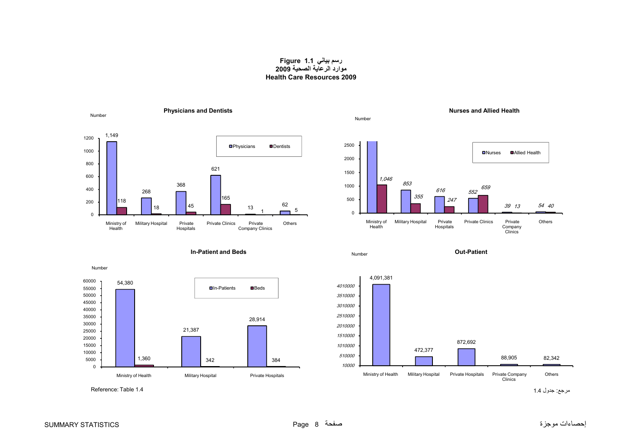### **رسم بياني 1.1 Figure موارد الرعاية الصحية <sup>2009</sup> Health Care Resources 2009**

<span id="page-8-0"></span>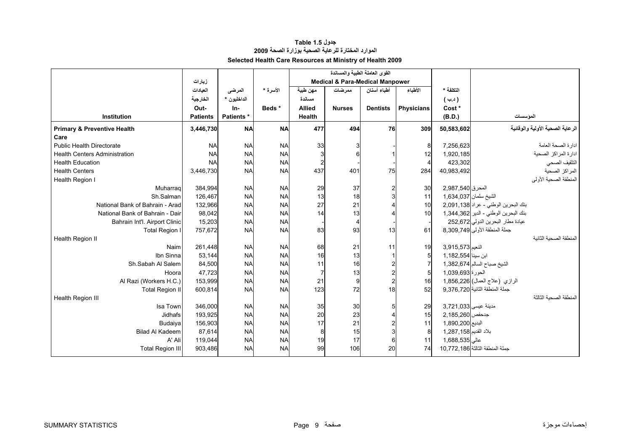# **جدول 1.5 Table الموارد المختارة للرعاية الصحية بوزارة الصحة <sup>2009</sup> Selected Health Care Resources at Ministry of Health 2009**

<span id="page-9-0"></span>

|                                        |                 |                   |           |                |                                            | القوى العاملة الطبية والمساندة |                   |                       |                                      |
|----------------------------------------|-----------------|-------------------|-----------|----------------|--------------------------------------------|--------------------------------|-------------------|-----------------------|--------------------------------------|
|                                        | زيارات          |                   |           |                | <b>Medical &amp; Para-Medical Manpower</b> |                                |                   |                       |                                      |
|                                        | العيادات        | المرضى            | الأسرة *  | مهن طبية       | ممر ضات                                    | أطباء أسنان                    | الأطباء           | التكلفة *             |                                      |
|                                        | الخارجية        | الداخليون *       |           | مسائدة         |                                            |                                |                   | (4.4)                 |                                      |
|                                        | Out-            | In-               | Beds*     | <b>Allied</b>  | <b>Nurses</b>                              | <b>Dentists</b>                | <b>Physicians</b> | Cost*                 |                                      |
| Institution                            | <b>Patients</b> | <b>Patients</b> * |           | Health         |                                            |                                |                   | (B.D.)                | الموسسات                             |
| <b>Primary &amp; Preventive Health</b> | 3,446,730       | <b>NA</b>         | <b>NA</b> | 477            | 494                                        | 76                             | 309               | 50,583,602            | الرعاية الصحية الأولية والوقائية     |
| Care                                   |                 |                   |           |                |                                            |                                |                   |                       |                                      |
| Public Health Directorate              | <b>NA</b>       | <b>NA</b>         | <b>NA</b> | 33             |                                            |                                | 8                 | 7,256,623             | ادارة الصحة العامة                   |
| <b>Health Centers Administration</b>   | <b>NA</b>       | <b>NA</b>         | <b>NA</b> | 3              | 6                                          |                                | 12                | 1,920,185             | ادارة المراكز الصحية                 |
| <b>Health Education</b>                | <b>NA</b>       | <b>NA</b>         | <b>NA</b> | $\overline{a}$ |                                            |                                |                   | 423,302               | التثقيف الصحى                        |
| <b>Health Centers</b>                  | 3,446,730       | <b>NA</b>         | <b>NA</b> | 437            | 401                                        | 75                             | 284               | 40,983,492            | المراكز الصحية                       |
| Health Region I                        |                 |                   |           |                |                                            |                                |                   |                       | المنطقة الصحية الأولى                |
| Muharrag                               | 384,994         | <b>NA</b>         | <b>NA</b> | 29             | 37                                         |                                | 30                | المحرق 2,987,540      |                                      |
| Sh.Salman                              | 126,467         | <b>NA</b>         | <b>NA</b> | 13             | 18                                         |                                | 11                | الشيخ سلمان 1,634,037 |                                      |
| National Bank of Bahrain - Arad        | 132,966         | <b>NA</b>         | <b>NA</b> | 27             | 21                                         |                                | 10                |                       | بنك البحرين الوطني - عراد 2,091,138  |
| National Bank of Bahrain - Dair        | 98,042          | <b>NA</b>         | <b>NA</b> | 14             | 13                                         |                                | 10                |                       | بنك البحرين الوطني - الدير 1,344,362 |
| Bahrain Int'l. Airport Clinic          | 15,203          | <b>NA</b>         | <b>NA</b> |                | 4                                          |                                |                   |                       | عيادة مطار البحرين الدولي 252,672    |
| <b>Total Region I</b>                  | 757,672         | <b>NA</b>         | <b>NA</b> | 83             | 93                                         | 13                             | 61                |                       | جملة المنطقة الأولى 8,309,749        |
| Health Region II                       |                 |                   |           |                |                                            |                                |                   |                       | المنطقة الصحية الثانبة               |
| Naim                                   | 261,448         | <b>NA</b>         | <b>NA</b> | 68             | 21                                         | 11                             | 19                | النعيم 3,915,573      |                                      |
| Ibn Sinna                              | 53,144          | <b>NA</b>         | <b>NA</b> | 16             | 13                                         |                                |                   | ابن سينا 1,182,554    |                                      |
| Sh.Sabah Al Salem                      | 84,500          | <b>NA</b>         | <b>NA</b> | 11             | 16                                         |                                |                   |                       | الشيخ صباح السالم 1,382,674          |
| Hoora                                  | 47,723          | <b>NA</b>         | <b>NA</b> | $\overline{7}$ | 13                                         |                                |                   | الحورة 1,039,693      |                                      |
| Al Razi (Workers H.C.)                 | 153,999         | <b>NA</b>         | <b>NA</b> | 21             | 9                                          |                                | 16                |                       | الرازي (علاج العمال) 1,856,226       |
| <b>Total Region II</b>                 | 600,814         | <b>NA</b>         | <b>NA</b> | 123            | 72                                         | 18                             | 52                |                       | جملة المنطقة الثانية 9,376,720       |
| Health Region III                      |                 |                   |           |                |                                            |                                |                   |                       | المنطقة الصحبة الثالثة               |
| Isa Town                               | 346,000         | <b>NA</b>         | <b>NA</b> | 35             | 30                                         |                                | 29                | مدينة عيسى 3.721.033  |                                      |
| <b>Jidhafs</b>                         | 193,925         | <b>NA</b>         | <b>NA</b> | 20             | 23                                         |                                | 15                | جدحفص 2,185,260       |                                      |
| Budaiya                                | 156,903         | <b>NA</b>         | <b>NA</b> | 17             | 21                                         |                                | 11                | البديع 1,890,200      |                                      |
| <b>Bilad Al Kadeem</b>                 | 87,614          | <b>NA</b>         | <b>NA</b> | 8              | 15                                         |                                |                   | بلاد القديم 1,287,158 |                                      |
| A' Ali                                 | 119,044         | <b>NA</b>         | <b>NA</b> | 19             | 17                                         |                                | 11                | عالی 1,688,535        |                                      |
| <b>Total Region III</b>                | 903,486         | <b>NA</b>         | <b>NA</b> | 99             | 106                                        | 20                             | 74                |                       | حملة المنطقة الثالثة 10,772,186      |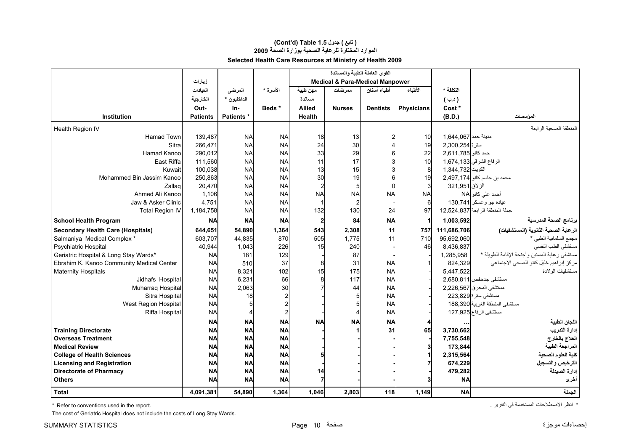# **الموارد المختارة للرعاية الصحية بوزارة الصحة <sup>2009</sup> Selected Health Care Resources at Ministry of Health 2009 (Cont'd) Table 1.5 جدول ) تابع(**

|                                           |                 |             |                |                                            | القوى العاملة الطبية والمساندة |                 |                   |                     |                                               |
|-------------------------------------------|-----------------|-------------|----------------|--------------------------------------------|--------------------------------|-----------------|-------------------|---------------------|-----------------------------------------------|
|                                           | زيارات          |             |                | <b>Medical &amp; Para-Medical Manpower</b> |                                |                 |                   |                     |                                               |
|                                           | العيادات        | المرضى      | الأسرة *       | مهن طبية                                   | ممر ضات                        | أطباء أسنان     | الأطباء           | التكلفة *           |                                               |
|                                           | الخارجية        | الداخليون * |                | مسائدة                                     |                                |                 |                   | ( د.ب               |                                               |
|                                           | Out-            | In-         | Beds*          | <b>Allied</b>                              | <b>Nurses</b>                  | <b>Dentists</b> | <b>Physicians</b> | Cost *              |                                               |
| <b>Institution</b>                        | <b>Patients</b> | Patients *  |                | <b>Health</b>                              |                                |                 |                   | (B.D.)              | المؤسسات                                      |
| Health Region IV                          |                 |             |                |                                            |                                |                 |                   |                     | المنطقة الصحية الر ابعة                       |
| <b>Hamad Town</b>                         | 139,487         | <b>NA</b>   | <b>NA</b>      | 18                                         | 13                             |                 | 10                | مدينة حمد 1,644,067 |                                               |
| Sitra                                     | 266,471         | <b>NA</b>   | <b>NA</b>      | 24                                         | 30                             |                 | 19                | سترة 2,300,254      |                                               |
| Hamad Kanoo                               | 290,012         | <b>NA</b>   | <b>NA</b>      | 33                                         | 29                             |                 | 22                | حمد كانو 2,611,785  |                                               |
| East Riffa                                | 111.560         | <b>NA</b>   | <b>NA</b>      | 11                                         | 17                             |                 | 10                |                     | الرفاع الشرقي 1,674,133                       |
| Kuwait                                    | 100,038         | <b>NA</b>   | <b>NA</b>      | 13                                         | 15                             |                 | 8                 | الكويت 344,732      |                                               |
| Mohammed Bin Jassim Kanoo                 | 250,863         | <b>NA</b>   | <b>NA</b>      | 30                                         | 19                             |                 | 19                |                     | محمد بن جاسم كانو  2,497,174                  |
| Zallag                                    | 20,470          | <b>NA</b>   | <b>NA</b>      | $\overline{\mathbf{c}}$                    | 5                              | n               |                   | الزلاق 321,951      |                                               |
| Ahmed Ali Kanoo                           | 1,106           | <b>NA</b>   | <b>NA</b>      | <b>NA</b>                                  | <b>NA</b>                      | <b>NA</b>       | <b>NA</b>         |                     | أحمد علي كانو NA                              |
| Jaw & Asker Clinic                        | 4,751           | <b>NA</b>   | <b>NA</b>      |                                            |                                |                 | 6                 |                     | عيادة جو وعسكر  130,741                       |
| <b>Total Region IV</b>                    | 1,184,758       | <b>NA</b>   | <b>NA</b>      | 132                                        | 130                            | 24              | 97                |                     | جملة المنطقة الرابعة 12,524,837               |
| <b>School Health Program</b>              | <b>NA</b>       | <b>NA</b>   | <b>NA</b>      | $\mathbf{2}$                               | 84                             | <b>NA</b>       |                   | 1,003,592           | برنامج الصحة المدرسية                         |
| <b>Secondary Health Care (Hospitals)</b>  | 644,651         | 54,890      | 1,364          | 543                                        | 2,308                          | 11              | 757               | 111,686,706         | الر عاية الصحية الثانوية (المستشفيات)         |
| Salmaniya Medical Complex *               | 603,707         | 44,835      | 870            | 505                                        | 1,775                          | 11              | 710               | 95,692,060          | مجمع السلمانية الطبي *                        |
| Psychiatric Hospital                      | 40,944          | 1,043       | 226            | 15                                         | 240                            |                 | 46                | 8,436,837           | مستشفى الطب النفسى                            |
| Geriatric Hospital & Long Stay Wards*     | <b>NA</b>       | 181         | 129            |                                            | 87                             |                 |                   | 1,285,958           | مستشفى رعاية المسنين وأجنحة الإقامة الطويلة * |
| Ebrahim K. Kanoo Community Medical Center | <b>NA</b>       | 510         | 37             | 8                                          | 31                             | <b>NA</b>       |                   | 824.329             | مركز إبراهيم خليل كانو الصحى الاجتماعي        |
| <b>Maternity Hospitals</b>                | <b>NA</b>       | 8,321       | 102            | 15                                         | 175                            | <b>NA</b>       |                   | 5,447,522           | مستشفيات الولادة                              |
| Jidhafs Hospital                          | <b>NA</b>       | 6,231       | 66             |                                            | 117                            | <b>NA</b>       |                   |                     | مستشفى جدحفص 811,080,811                      |
| Muharraq Hospital                         | <b>NA</b>       | 2,063       | 30             |                                            | 44                             | <b>NA</b>       |                   |                     | مستشفى المحرق 2,226,567                       |
| Sitra Hospital                            | <b>NA</b>       | 18          |                |                                            |                                | <b>NA</b>       |                   |                     | مستشفى سترة 223,829                           |
| West Region Hospital                      | <b>NA</b>       |             |                |                                            |                                | <b>NA</b>       |                   |                     | مستشفى المنطقة الغربية 188,390                |
| Riffa Hospital                            | <b>NA</b>       |             | $\overline{2}$ |                                            |                                | <b>NA</b>       |                   |                     | مستشفى الرفاع 127,925                         |
|                                           | <b>NA</b>       | <b>NA</b>   | <b>NA</b>      | <b>NA</b>                                  | <b>NA</b>                      | <b>NA</b>       |                   |                     | اللجان الطبية                                 |
| <b>Training Directorate</b>               | <b>NA</b>       | <b>NA</b>   | <b>NA</b>      |                                            |                                | 31              | 65                | 3,730,662           | إدارة التدريب                                 |
| <b>Overseas Treatment</b>                 | <b>NA</b>       | <b>NA</b>   | <b>NA</b>      |                                            |                                |                 |                   | 7,755,548           | العلاج بالخارج                                |
| <b>Medical Review</b>                     | <b>NA</b>       | <b>NA</b>   | <b>NA</b>      |                                            |                                |                 |                   | 173,844             | المراجعة الطبية                               |
| <b>College of Health Sciences</b>         | <b>NA</b>       | <b>NA</b>   | <b>NA</b>      |                                            |                                |                 |                   | 2,315,564           | كلية العلوم الصحية                            |
| <b>Licensing and Registration</b>         | <b>NA</b>       | <b>NA</b>   | <b>NA</b>      |                                            |                                |                 |                   | 674,229             | الترخيص والتسجيل                              |
| <b>Directorate of Pharmacy</b>            | <b>NA</b>       | <b>NA</b>   | <b>NA</b>      | 14                                         |                                |                 |                   | 479,282             | إدارة الصيدلة                                 |
| <b>Others</b>                             | <b>NA</b>       | <b>NA</b>   | <b>NA</b>      |                                            |                                |                 |                   | <b>NA</b>           | أخرى                                          |
| <b>Total</b>                              | 4,091,381       | 54,890      | 1,364          | 1.046                                      | 2,803                          | 118             | 1,149             | <b>NA</b>           | الجملة                                        |

\* Refer to conventions used in the report. . التقرير في المستخدمة الاصطلاحات انظر\*

The cost of Geriatric Hospital does not include the costs of Long Stay Wards.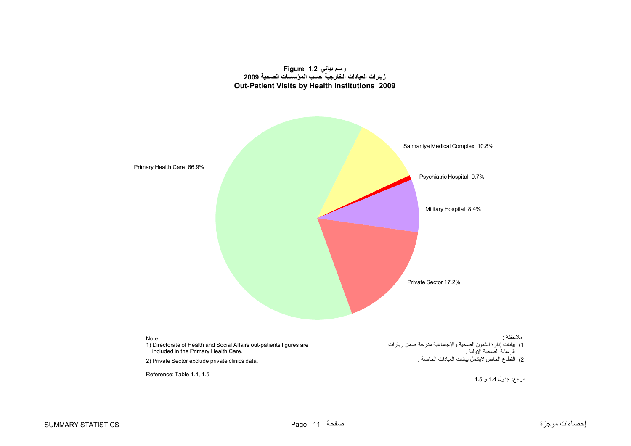#### **رسم بياني 1.2 Figure زيارات العيادات الخارجية حسب المؤسسات الصحية <sup>2009</sup> Out-Patient Visits by Health Institutions 2009**

<span id="page-11-0"></span>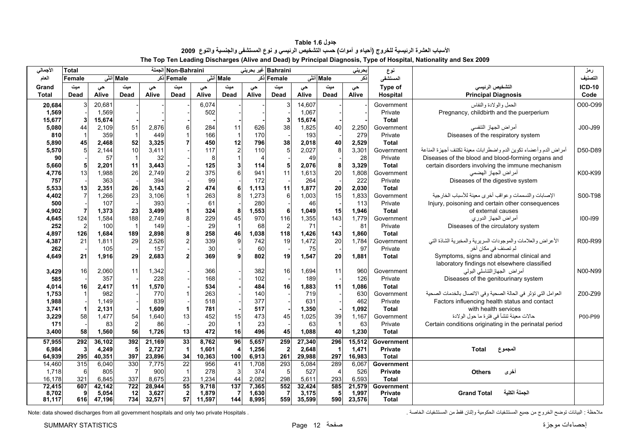<span id="page-12-0"></span>

| الأجمالي     | <b>Total</b>    |        |                |        | Non-Bahraini الجملة |        |                         |                | Bahraini غیر بحرینی |        |                      | بحريني | نوع            |                                                                  | رمز           |
|--------------|-----------------|--------|----------------|--------|---------------------|--------|-------------------------|----------------|---------------------|--------|----------------------|--------|----------------|------------------------------------------------------------------|---------------|
| العام        | Female          |        | Male أنشى      |        | Female دَکر         |        | Male أنش                |                | Female ذکر          |        | Male أنشى            | نكر    | المستشفى       |                                                                  | التصنيف       |
| Grand        | میت             | حى     | میت            | حى     | میت                 | حى     | ميت                     | حى             | میت                 | حى     | میت                  | حى     | Type of        | التشخيص الرئيسي                                                  | <b>ICD-10</b> |
| <b>Total</b> | Dead            | Alive  | Dead           | Alive  | <b>Dead</b>         | Alive  | Dead                    | Alive          | Dead                | Alive  | Dead                 | Alive  | Hospital       | <b>Principal Diagnosis</b>                                       | Code          |
| 20,684       | 3               | 20,681 |                |        |                     | 6,074  |                         |                |                     | 14,607 |                      |        | Government     | الحمل والولادة والنفاس                                           | O00-O99       |
| 1,569        |                 | 1,569  |                |        |                     | 502    |                         |                |                     | 1,067  |                      |        | Private        | Pregnancy, childbirth and the puerperium                         |               |
| 15,677       |                 | 15,674 |                |        |                     |        |                         |                |                     | 15,674 |                      |        | <b>Total</b>   |                                                                  |               |
| 5,080        | 44              | 2,109  | 51             | 2,876  | $6 \,$              | 284    | 11                      | 626            | 38                  | 1,825  | 40                   | 2,250  | Government     | أمراض الجهاز التنفسي                                             | J00-J99       |
| 810          |                 | 359    |                | 449    |                     | 166    | $\overline{1}$          | 170            |                     | 193    |                      | 279    | Private        | Diseases of the respiratory system                               |               |
| 5,890        | 45              | 2,468  | 52             | 3,325  |                     | 450    | 12                      | 796            | 38                  | 2,018  | 40                   | 2,529  | <b>Total</b>   |                                                                  |               |
| 5,570        | 5 <sup>1</sup>  | 2,144  | 10             | 3,411  |                     | 117    | $\overline{c}$          | 110            | 5 <sup>1</sup>      | 2,027  | 8                    | 3,301  | Government     | أمراض الدم وأعضاء تكوين الدم واضطرابات معينة تكتنف أجهزة المناعة | D50-D89       |
| 90           |                 | 57     | $\mathbf{1}$   | 32     |                     | 8      |                         | $\overline{4}$ |                     | 49     |                      | 28     | Private        | Diseases of the blood and blood-forming organs and               |               |
| 5,660        | 5               | 2,201  | 11             | 3,443  |                     | 125    |                         | 114            | 5                   | 2,076  | 8                    | 3,329  | <b>Total</b>   | certain disorders involving the immune mechanism                 |               |
| 4,776        | 13              | 1,988  | 26             | 2.749  |                     | 375    | 6                       | 941            | 11                  | 1,613  | 20                   | 1,808  | Government     | أمراض الجهاز الهضمى                                              | K00-K99       |
| 757          |                 | 363    |                | 394    |                     | 99     |                         | 172            |                     | 264    |                      | 222    | Private        | Diseases of the digestive system                                 |               |
| 5,533        | 13              | 2,351  | 26             | 3.143  |                     | 474    | 6                       | 1,113          | 11                  | 1,877  | 20                   | 2,030  | <b>Total</b>   |                                                                  |               |
| 4,402        | $\overline{7}$  | 1,266  | 23             | 3,106  |                     | 263    |                         | 1,273          | 6                   | 1,003  | 15                   | 1,833  | Government     | الإصابات والتسممات وعواقب أخرى معينة للأسباب الخارجية            | S00-T98       |
| 500          |                 | 107    |                | 393    |                     | 61     |                         | 280            |                     | 46     |                      | 113    | Private        | Injury, poisoning and certain other consequences                 |               |
| 4,902        | $\overline{7}$  | 1,373  | 23             | 3.499  |                     | 324    |                         | 1,553          | 6                   | 1.049  | 15                   | 1,946  | <b>Total</b>   | of external causes                                               |               |
| 4,645        | 124             | 1,584  | 188            | 2.749  | 8                   | 229    | 45                      | 970            | 116                 | 1,355  | 143                  | 1,779  | Government     | أمراض الجهاز الدوري                                              | $100 - 199$   |
| 252          | $\overline{2}$  | 100    | $\overline{1}$ | 149    |                     | 29     |                         | 68             | $\overline{2}$      | 71     |                      | 81     | Private        | Diseases of the circulatory system                               |               |
| 4,897        | 126             | 1,684  | 189            | 2,898  | 8                   | 258    | 46                      | 1,038          | 118                 | 1,426  | 143                  | 1,860  | <b>Total</b>   |                                                                  |               |
| 4,387        | 21              | 1,811  | 29             | 2,526  |                     | 339    | 9                       | 742            | 19                  | 1,472  | 20                   | 1,784  | Government     | الأعراض والعلامات والموجودات السريرية والمخبرية الشاذة التي      | R00-R99       |
| 262          |                 | 105    |                | 157    |                     | 30     |                         | 60             |                     | 75     |                      | 97     | Private        | لم تصنف في مكان أخر                                              |               |
| 4,649        | 21              | 1,916  | 29             | 2,683  | $\overline{2}$      | 369    |                         | 802            | 19                  | 1,547  | 20                   | 1,881  | Total          | Symptoms, signs and abnormal clinical and                        |               |
|              |                 |        |                |        |                     |        |                         |                |                     |        |                      |        |                | laboratory findings not elsewhere classified                     |               |
| 3,429        | 16 <sup>1</sup> | 2,060  | 11             | 1,342  |                     | 366    |                         | 382            | 16                  | 1,694  | 11                   | 960    | Government     | أمراض الجهاز التناسلي البولي                                     | N00-N99       |
| 585          |                 | 357    |                | 228    |                     | 168    |                         | 102            |                     | 189    |                      | 126    | Private        | Diseases of the genitourinary system                             |               |
| 4,014        | 16              | 2,417  | 11             | 1,570  |                     | 534    |                         | 484            | 16                  | 1,883  | 11                   | 1,086  | <b>Total</b>   |                                                                  |               |
| 1,753        |                 | 982    |                | 770    |                     | 263    |                         | 140            |                     | 719    |                      | 630    | Government     | العوامل التي تؤثر في الحالة الصحية وفي الاتصال بالخدمات الصحية   | Z00-Z99       |
| 1,988        |                 | 1,149  |                | 839    |                     | 518    |                         | 377            |                     | 631    |                      | 462    | Private        | Factors influencing health status and contact                    |               |
| 3,741        |                 | 2,131  |                | 1,609  | $\mathbf 1$         | 781    |                         | 517            |                     | 1,350  |                      | 1,092  | <b>Total</b>   | with health services                                             |               |
| 3,229        | 58              | 1,477  | 54             | 1,640  | 13                  | 452    | 15                      | 473            | 45                  | 1,025  | 39                   | 1,167  | Government     | حالات معينة تنشأ في فترة ما حول الولادة                          | P00-P99       |
| 171          |                 | 83     | $\overline{2}$ | 86     |                     | 20     | $\overline{1}$          | 23             |                     | 63     | $\overline{1}$       | 63     | Private        | Certain conditions originating in the perinatal period           |               |
| 3,400        | 58              | 1,560  | 56             | 1,726  | 13                  | 472    | 16                      | 496            | 45                  | 1,088  | 40                   | 1,230  | <b>Total</b>   |                                                                  |               |
| 57,955       | 292             | 36,102 | 392            | 21,169 | 33                  | 8,762  | 96                      | 5,657          | 259                 | 27,340 | 296                  | 15,512 | Government     |                                                                  |               |
| 6,984        | 3               | 4,249  | 5              | 2,727  | $\overline{1}$      | 1,601  | $\overline{\mathbf{4}}$ | 1,256          | $\overline{2}$      | 2,648  | $\blacktriangleleft$ | 1,471  | <b>Private</b> | <b>Total</b><br>المجموع                                          |               |
| 64,939       | 295             | 40,351 | 397            | 23,896 | 34                  | 10,363 | 100                     | 6,913          | 261                 | 29,988 | 297                  | 16,983 | <b>Total</b>   |                                                                  |               |
| 14,460       | 315             | 6,040  | 330            | 7.775  | $\overline{22}$     | 956    | 41                      | 1,708          | 293                 | 5,084  | 289                  | 6,067  | Government     |                                                                  |               |
| 1,718        | 6               | 805    | $\overline{7}$ | 900    | $\overline{1}$      | 278    | 3                       | 374            | 5                   | 527    | $\overline{4}$       | 526    | Private        | أخرى<br><b>Others</b>                                            |               |
| 16,178       | 321             | 6,845  | 337            | 8.675  | 23                  | 1,234  | 44                      | 2,082          | 298                 | 5,611  | 293                  | 6,593  | <b>Total</b>   |                                                                  |               |
| 72,415       | 607             | 42,142 | 722            | 28,944 | 55                  | 9,718  | 137                     | 7,365          | 552                 | 32,424 | 585                  | 21,579 | Government     |                                                                  |               |
| 8,702        | 9               | 5,054  | 12             | 3.627  | $\overline{2}$      | 1,879  | 7                       | 1,630          |                     | 3.175  | 5                    | 1,997  | <b>Private</b> | الحملة الكلبة<br><b>Grand Total</b>                              |               |
| 81,117       | 616             | 47.196 | 734            | 32,571 | 57                  | 11,597 | 144                     | 8.995          | 559                 | 35.599 | 590                  | 23,576 | <b>Total</b>   |                                                                  |               |

**جدول 1.6 Table** الأسباب العشرة الرئيسية للخروج (أحياء و أموات) حسب التشخيص الرئيسي و نوع المستشفى والجنسية والنوع 2009 **The Top Ten Leading Discharges (Alive and Dead) by Principal Diagnosis, Type of Hospital, Nationality and Sex 2009** 

ملاحظة : البيانات توضح الخروج من جميع المستشفيات الحكومية وإثنان فقط من المستشفيات الخاصة . . Hospitals private two only and hospitals government all from discharges showed data :Note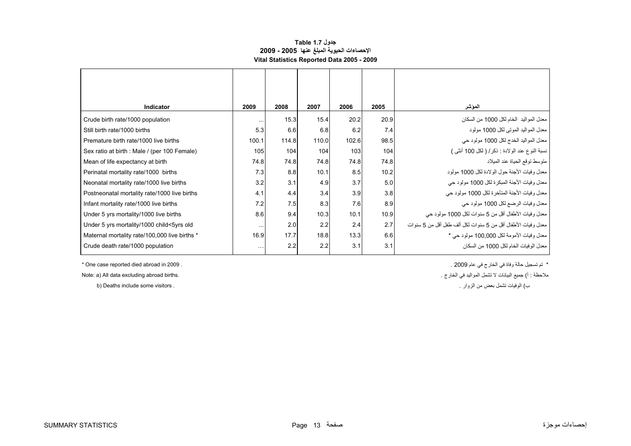### **جدول 1.7 Table الإحصاءات الحيوية المبلغ عنها 2005 - 2009 Vital Statistics Reported Data 2005 - 2009**

<span id="page-13-0"></span>

| <b>Indicator</b>                              | 2009     | 2008  | 2007  | 2006  | 2005 | المؤشر                                                       |
|-----------------------------------------------|----------|-------|-------|-------|------|--------------------------------------------------------------|
| Crude birth rate/1000 population              | $\cdots$ | 15.3  | 15.4  | 20.2  | 20.9 | معدل المواليد  الخام لكل 1000 من السكان                      |
| Still birth rate/1000 births                  | 5.3      | 6.6   | 6.8   | 6.2   | 7.4  | معدل المو اليد الموتي لكل 1000 مولود                         |
| Premature birth rate/1000 live births         | 100.1    | 114.8 | 110.0 | 102.6 | 98.5 | معدل المواليد الخدج لكل 1000 مولود حي                        |
| Sex ratio at birth : Male / (per 100 Female)  | 105      | 104   | 104   | 103   | 104  | نسبة النوع عند الولادة : ذكر / ( لكل 100 أنثى )              |
| Mean of life expectancy at birth              | 74.8     | 74.8  | 74.8  | 74.8  | 74.8 | منوسط نوقع الحياة عند الميلاد                                |
| Perinatal mortality rate/1000 births          | 7.3      | 8.8   | 10.1  | 8.5   | 10.2 | معدل وفيات الأجنة حول الولادة لكل 1000 مولود                 |
| Neonatal mortality rate/1000 live births      | 3.2      | 3.1   | 4.9   | 3.7   | 5.0  | معدل وفيات الأجنة المبكر ة لكل 1000 مولود حي                 |
| Postneonatal mortality rate/1000 live births  | 4.1      | 4.4   | 3.4   | 3.9   | 3.8  | معدل وفيات الأجنة المتأخرة لكل 1000 مولود حي                 |
| Infant mortality rate/1000 live births        | 7.2      | 7.5   | 8.3   | 7.6   | 8.9  | معدل وفيات الرضع لكل 1000 مولود حي                           |
| Under 5 yrs mortality/1000 live births        | 8.6      | 9.4   | 10.3  | 10.1  | 10.9 | معدل وفيات الأطفال أقل من 5 سنوات لكل 1000 مولود حي          |
| Under 5 yrs mortality/1000 child<5yrs old     | $\cdots$ | 2.0   | 2.2   | 2.4   | 2.7  | معدل وفيات الأطفال أقل من 5 سنوات لكل ألف طفل أقل من 5 سنوات |
| Maternal mortality rate/100,000 live births * | 16.9     | 17.7  | 18.8  | 13.3  | 6.6  | معدل وفيات الأمومة لكل 100,000 مولود حي *                    |
| Crude death rate/1000 population              | $\cdots$ | 2.2   | 2.2   | 3.1   | 3.1  | معدل الو فيات الخام لكل 1000 من السكان                       |

\* تم تسجيل حالة وفاة في الخارج في عام 2009 . . 2009 in abroad died reported case One\*

ملاحظة : أ) جميع البيانات لا تشمل المواليد في الخارج . .births abroad excluding data All) a :Note

ب

b) Deaths include some visitors .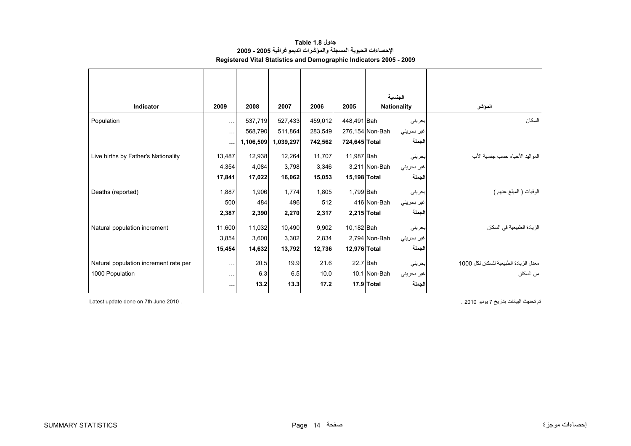<span id="page-14-0"></span>

|                                       |               |           |           |         |               | الجنسية                       |                                       |
|---------------------------------------|---------------|-----------|-----------|---------|---------------|-------------------------------|---------------------------------------|
| <b>Indicator</b>                      | 2009          | 2008      | 2007      | 2006    | 2005          | <b>Nationality</b>            | المؤشر                                |
| Population                            | $\ddotsc$     | 537,719   | 527,433   | 459,012 | 448,491 Bah   | بحريني                        | السكان                                |
|                                       | $\ddotsc$     | 568,790   | 511,864   | 283,549 |               | 276,154 Non-Bah<br>غير بحريني |                                       |
|                                       |               | 1,106,509 | 1,039,297 | 742,562 | 724,645 Total | الجملة                        |                                       |
| Live births by Father's Nationality   | 13,487        | 12,938    | 12,264    | 11,707  | 11,987 Bah    | بحريني                        | المو اليد الأحياء حسب جنسية الأب      |
|                                       | 4,354         | 4,084     | 3,798     | 3,346   |               | 3,211 Non-Bah<br>غير بحريني   |                                       |
|                                       | 17,841        | 17,022    | 16,062    | 15,053  | 15,198 Total  | الجملة                        |                                       |
| Deaths (reported)                     | 1,887         | 1,906     | 1.774     | 1,805   | 1,799 Bah     | بحرينى                        | الوفيات ( المُبلغ عنهم )              |
|                                       | 500           | 484       | 496       | 512     |               | 416 Non-Bah<br>غير بحريني     |                                       |
|                                       | 2,387         | 2,390     | 2,270     | 2,317   |               | الجملة<br>2,215 Total         |                                       |
| Natural population increment          | 11,600        | 11,032    | 10,490    | 9,902   | 10,182 Bah    | بحريني                        | الزيادة الطبيعية في السكان            |
|                                       | 3,854         | 3,600     | 3,302     | 2,834   |               | 2,794 Non-Bah<br>غير بحريني   |                                       |
|                                       | 15,454        | 14,632    | 13,792    | 12,736  | 12,976 Total  | الجملة                        |                                       |
| Natural population increment rate per | $\sim$ $\sim$ | 20.5      | 19.9      | 21.6    | $22.7$ Bah    | بحريني                        | معدل الزيادة الطبيعية للسكان لكل 1000 |
| 1000 Population                       | $\sim$ $\sim$ | 6.3       | 6.5       | 10.0    |               | 10.1 Non-Bah<br>غير بحريني    | من السكان                             |
|                                       | $\cdots$      | 13.2      | 13.3      | 17.2    |               | الجملة<br>17.9 Total          |                                       |

**جدول 1.8 Table الإحصاءات الحيوية المسجلة والمؤشرات الديموغرافية 2005 - 2009 Registered Vital Statistics and Demographic Indicators 2005 - 2009**

Latest update done on 7th June 2010 . . 2010 يونيو <sup>7</sup> بتاريخ البيانات تحديث تم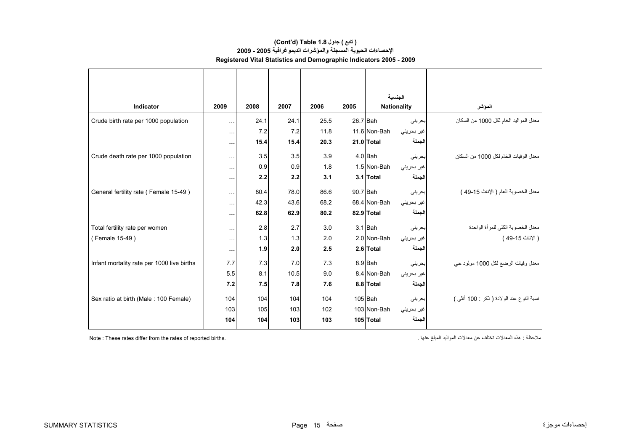### **الإحصاءات الحيوية المسجلة والمؤشرات الديموغرافية 2005 - 2009 Registered Vital Statistics and Demographic Indicators 2005 - 2009 (Cont'd) Table 1.8 جدول ) تابع(**

|                                                              |      |      |      |            | الحنسبة                    |                                           |
|--------------------------------------------------------------|------|------|------|------------|----------------------------|-------------------------------------------|
| Indicator<br>2009                                            | 2008 | 2007 | 2006 | 2005       | <b>Nationality</b>         | الموشر                                    |
| Crude birth rate per 1000 population<br>$\sim$ $\sim$ $\sim$ | 24.1 | 24.1 | 25.5 | 26.7 Bah   | بحرينى                     | معدل المواليد الخام لكل 1000 من السكان    |
| $\sim$ $\sim$ $\sim$                                         | 7.2  | 7.2  | 11.8 |            | 11.6 Non-Bah<br>غير بحريني |                                           |
| $\cdots$                                                     | 15.4 | 15.4 | 20.3 |            | 21.0 Total<br>الجملة       |                                           |
| Crude death rate per 1000 population<br>$\ddotsc$            | 3.5  | 3.5  | 3.9  |            | 4.0 Bah<br>بحريني          | معدل الوفيات الخام لكل 1000 من السكان     |
| $\ddotsc$                                                    | 0.9  | 0.9  | 1.8  |            | 1.5 Non-Bah<br>غير بحريني  |                                           |
| $\cdots$                                                     | 2.2  | 2.2  | 3.1  |            | 3.1 Total<br>الجملة        |                                           |
| General fertility rate (Female 15-49)<br>$\ddotsc$           | 80.4 | 78.0 | 86.6 | $90.7$ Bah | بحريني                     | معدل الخصوبة العام ( الإناث 15-49 )       |
| $\sim$ $\sim$ $\sim$                                         | 42.3 | 43.6 | 68.2 |            | 68.4 Non-Bah<br>غير بحريني |                                           |
| $\cdots$                                                     | 62.8 | 62.9 | 80.2 |            | الجملة<br>82.9 Total       |                                           |
| Total fertility rate per women<br>$\ddotsc$                  | 2.8  | 2.7  | 3.0  |            | $3.1$ Bah<br>بحريني        | معدل الخصوبة الكلي للمرأة الواحدة         |
| (Female 15-49)<br>$\sim$ $\sim$ $\sim$                       | 1.3  | 1.3  | 2.0  |            | 2.0 Non-Bah<br>غير بحريني  | ( الإناث 15-49 )                          |
| $\cdots$                                                     | 1.9  | 2.0  | 2.5  |            | الجملة<br>2.6 Total        |                                           |
| 7.7<br>Infant mortality rate per 1000 live births            | 7.3  | 7.0  | 7.3  |            | 8.9 Bah<br>بحريني          | معدل وفيات الرضع لكل 1000 مولود حي        |
| 5.5                                                          | 8.1  | 10.5 | 9.0  |            | 8.4 Non-Bah<br>غير بحريني  |                                           |
| 7.2                                                          | 7.5  | 7.8  | 7.6  |            | الجملة<br>8.8 Total        |                                           |
| Sex ratio at birth (Male: 100 Female)<br>104                 | 104  | 104  | 104  |            | $105$ Bah<br>بحريني        | نسبة النوع عند الولادة ( ذكر : 100 أنثى ) |
| 103                                                          | 105  | 103  | 102  |            | 103 Non-Bah<br>غير بحريني  |                                           |
| 104                                                          | 104  | 103  | 103  |            | الجملة<br>105 Total        |                                           |

Note : These rates differ from the rates of reported births. . عنها المبلغ المواليد معدلات عن تختلف المعدلات هذه : ملاحظة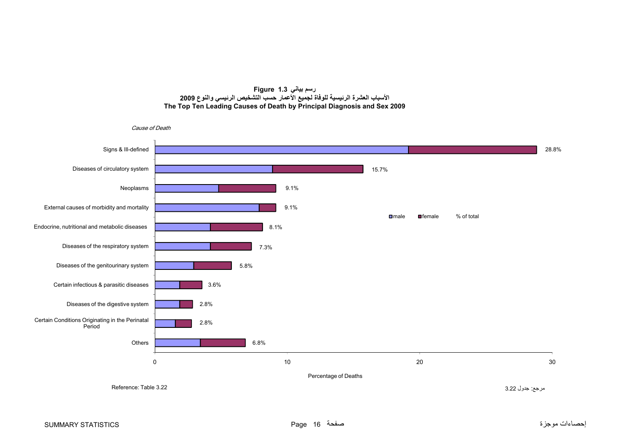#### **رسم بياني 1.3 Figure األسباب العشرة الرئيسية للوفاة لجميع األعمار حسب التشخيص الرئيسي والنوع <sup>2009</sup> The Top Ten Leading Causes of Death by Principal Diagnosis and Sex 2009**

<span id="page-16-0"></span>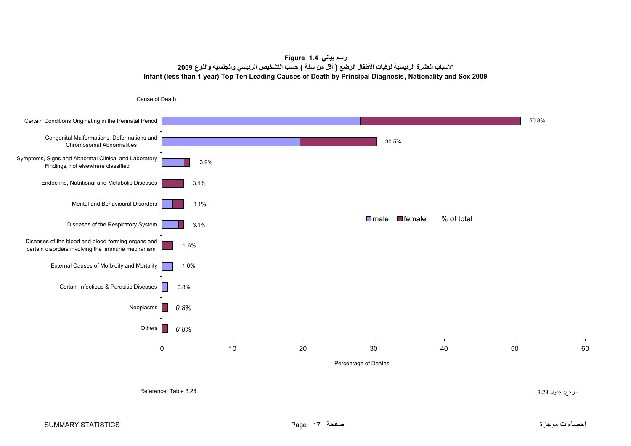# **رسم بياني 1.4 Figure الأسباب العشرة الرئيسية لوفيات الأطفال الرضع ( أقل من سنة ) حسب التشخيص الرئيسي والجنسية والنوع <sup>2009</sup> Infant (less than 1 year) Top Ten Leading Causes of Death by Principal Diagnosis, Nationality and Sex 2009**

<span id="page-17-0"></span>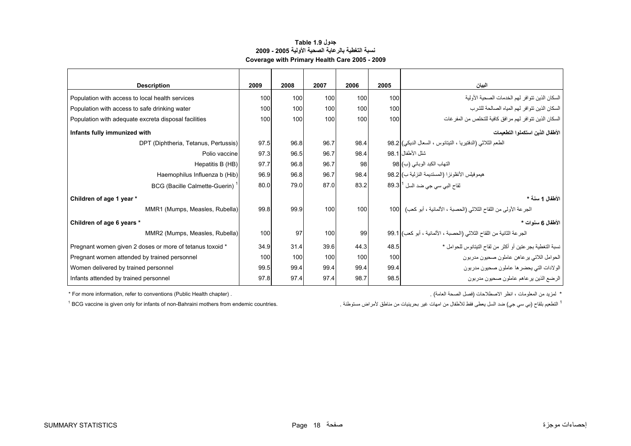### **جدول 1.9 Table نسبة التغطية بالرعاية الصحية الأولية 2005 - 2009 Coverage with Primary Health Care 2005 - 2009**

<span id="page-18-0"></span>

| <b>Description</b>                                       | 2009 | 2008 | 2007 | 2006 | 2005 | البيان                                                                |
|----------------------------------------------------------|------|------|------|------|------|-----------------------------------------------------------------------|
| Population with access to local health services          | 100  | 100  | 100  | 100  | 100  | السكان الذين تتوافر لهم الخدمات الصحية الأولية                        |
| Population with access to safe drinking water            | 100  | 100  | 100  | 100  | 100  | السكان الذين تتوافر لهم المياه الصالحة للشرب                          |
| Population with adequate excreta disposal facilities     | 100  | 100  | 100  | 100  | 100  | السكان الذين نتوافر لهم مرافق كافية للتخلص من المفر غات               |
| Infants fully immunized with                             |      |      |      |      |      | الأطفال الذبن استكملوا التطعمات                                       |
| DPT (Diphtheria, Tetanus, Pertussis)                     | 97.5 | 96.8 | 96.7 | 98.4 |      | الطعم الثلاثي (الدفتيريا ، التيتانوس ، السعال الديكي) 98.2            |
| Polio vaccine                                            | 97.3 | 96.5 | 96.7 | 98.4 |      | شلل الأطفال 98.1                                                      |
| Hepatitis B (HB)                                         | 97.7 | 96.8 | 96.7 | 98   |      | التهاب الكبد الوبائي (ب) 98                                           |
| Haemophilus Influenza b (Hib)                            | 96.9 | 96.8 | 96.7 | 98.4 |      | هيموفيلس الأنفلونزا (المستديمة النزلية ب) 38.2                        |
| BCG (Bacille Calmette-Guerin) <sup>1</sup>               | 80.0 | 79.0 | 87.0 | 83.2 |      | لقاح البي سي جي ضد السل <sup>1</sup> 89.3                             |
| Children of age 1 year *                                 |      |      |      |      |      | الأطفال 1 سنة *                                                       |
| MMR1 (Mumps, Measles, Rubella)                           | 99.8 | 99.9 | 100  | 100  |      | الجرعة الأولى من اللقاح الثلاثي (الحصبة ، الألمانية ، أبو كعب)  100   |
| Children of age 6 years *                                |      |      |      |      |      | الأطفال 6 سنوات *                                                     |
| MMR2 (Mumps, Measles, Rubella)                           | 100  | 97   | 100  | 99   |      | الجر عة الثانية من اللقاح الثلاثي (الحصبة ، الألمانية ، أبو كعب) 99.1 |
| Pregnant women given 2 doses or more of tetanus toxoid * | 34.9 | 31.4 | 39.6 | 44.3 | 48.5 | نسبة التغطية بجر عتين أو أكثر من لقاح التيتانوس للحوامل *             |
| Pregnant women attended by trained personnel             | 100  | 100  | 100  | 100  | 100  | الحوامل اللاتي يرعاهن عاملون صحيون مدربون                             |
| Women delivered by trained personnel                     | 99.5 | 99.4 | 99.4 | 99.4 | 99.4 | الولادات التي يحضر ها عاملون صحيون مدربون                             |
| Infants attended by trained personnel                    | 97.8 | 97.4 | 97.4 | 98.7 | 98.5 | الرضع الذين يرعاهم عاملون صحيون مدربون                                |

\* For more information, refer to conventions (Public Health chapter) . . (العامة الصحة فصل (الاصطلاحات انظر ، المعلومات من لمزيد\*

 $<sup>1</sup>$  BCG vaccine is given only for infants of non-Bahraini mothers from endemic countries.</sup>

<sup>1</sup> التطعيم بلقاح (بي سي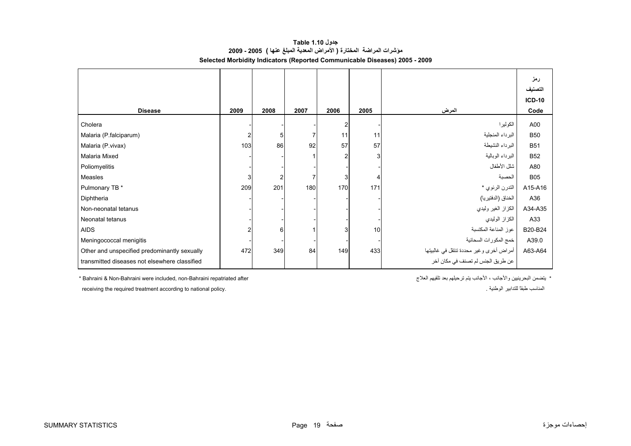<span id="page-19-0"></span>

|                                               |                |      |      |      |      |                                         | رمز<br>التصنيف<br><b>ICD-10</b> |
|-----------------------------------------------|----------------|------|------|------|------|-----------------------------------------|---------------------------------|
| <b>Disease</b>                                | 2009           | 2008 | 2007 | 2006 | 2005 | المرض                                   | Code                            |
| Cholera                                       |                |      |      |      |      | الكولير ا                               | A00                             |
| Malaria (P.falciparum)                        | $\overline{c}$ | 5    |      | 11   | 11   | البرداء المنجلية                        | <b>B50</b>                      |
| Malaria (P.vivax)                             | 103            | 86   | 92   | 57   | 57   | البر داء النشيطة                        | <b>B51</b>                      |
| Malaria Mixed                                 |                |      |      | 2    | 3    | البرداء الوبالية                        | <b>B52</b>                      |
| Poliomyelitis                                 |                |      |      |      |      | شلل الأطفال                             | A80                             |
| Measles                                       | 3              |      |      | 3    | 4    | الحصبة                                  | <b>B05</b>                      |
| Pulmonary TB *                                | 209            | 201  | 180  | 170  | 171  | التدرن الرئوي *                         | A15-A16                         |
| Diphtheria                                    |                |      |      |      |      | الخناق (الدفتيريا)                      | A36                             |
| Non-neonatal tetanus                          |                |      |      |      |      | الكزاز الغير وليدي                      | A34-A35                         |
| Neonatal tetanus                              |                |      |      |      |      | الكزاز الوليدي                          | A33                             |
| <b>AIDS</b>                                   |                | 6    |      | 3    | 10   | عوز المناعة المكتسبة                    | B20-B24                         |
| Meningococcal menigitis                       |                |      |      |      |      | خمج المكورات السحائية                   | A39.0                           |
| Other and unspecified predominantly sexually  | 472            | 349  | 84   | 149  | 433  | أمراض أخرى وغير محددة تنتقل في غالبيتها | A63-A64                         |
| transmitted diseases not elsewhere classified |                |      |      |      |      | عن طريق الجنس لم تصنف في مكان آخر       |                                 |

# **جدول 1.10 Table مؤشرات المراضة المختارة ( الأمراض المعدية المبلغ عنها ) 2005 - 2009 Selected Morbidity Indicators (Reported Communicable Diseases) 2005 - 2009**

\* Bahraini & Non-Bahraini were included, non-Bahraini repatriated after

\* يتضمن البحرينيين والأجانب ، الأجانب يتم ترحيلهم بعد تلقيهم العلاج

receiving the required treatment according to national policy. . الوطنية للتدابير ًطبقا المناسب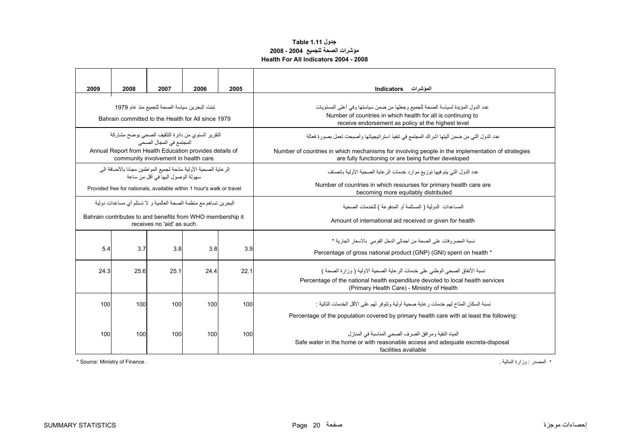# **جدول 1.11 Table مؤشرات الصحة للجميع 2004 - 2008 Health For All Indicators 2004 - 2008**

<span id="page-20-0"></span>

| 2009                                                                                                    | 2008 | 2007                                                                                             | 2006 | 2005 |                                                                                                                                                                                                            |  |  |  |
|---------------------------------------------------------------------------------------------------------|------|--------------------------------------------------------------------------------------------------|------|------|------------------------------------------------------------------------------------------------------------------------------------------------------------------------------------------------------------|--|--|--|
|                                                                                                         |      |                                                                                                  |      |      | المؤشرات Indicators                                                                                                                                                                                        |  |  |  |
| تبنت البحرين سياسة الصحة للجميع منذ عام 1979<br>Bahrain committed to the Health for All since 1979      |      |                                                                                                  |      |      | عدد الدول المؤيدة لسياسة الصحة للجميع وجعلها من ضمن سياستها وفي أعلى المستويات<br>Number of countries in which health for all is continuing to<br>receive endorsement as policy at the highest level       |  |  |  |
|                                                                                                         |      | النقرير السنوى من دائرة التثقيف الصحى يوضح مشاركة<br>المجتمع في المجال الصحي                     |      |      | عدد الدول التي من ضمن أليتها اشراك المجتمع في تنفيذ استراتيجياتها وأصبحت تعمل بصورة فعالة                                                                                                                  |  |  |  |
|                                                                                                         |      | Annual Report from Health Education provides details of<br>community involvement in health care. |      |      | Number of countries in which mechanisms for involving people in the implementation of strategies<br>are fully functioning or are being further developed                                                   |  |  |  |
| الر عاية الصحية الأولية متاحة لجميع المواطنين مجانا بالأضافة الى<br>سهو لة الوصو ل اليها في أقل من ساعة |      |                                                                                                  |      |      | عدد الدول التي يتم فيها توزيع موارد خدمات الرعاية الصحية الأولية بانصاف                                                                                                                                    |  |  |  |
| Provided free for nationals, available within 1 hour's walk or travel                                   |      |                                                                                                  |      |      | Number of countries in which resourses for primary health care are<br>becoming more equitably distributed                                                                                                  |  |  |  |
| البحرين تساهم مع منظمة الصحة العالمية و لا تستلم أي مساعدات دولية                                       |      |                                                                                                  |      |      | المساعدات الدولية ( المستلمة أو المدفوعة ) للخدمات الصحية                                                                                                                                                  |  |  |  |
|                                                                                                         |      | Bahrain contributes to and benefits from WHO membership it<br>receives no 'aid' as such.         |      |      | Amount of international aid received or given for health                                                                                                                                                   |  |  |  |
| 5.4                                                                                                     | 3.7  | 3.8                                                                                              | 3.8  | 3.9  | نسبة المصر وفات على الصحة من اجمالي الدخل القومي  بالاسعار  الجارية *<br>Percentage of gross national product (GNP) (GNI) spent on health *                                                                |  |  |  |
| 24.3                                                                                                    | 25.6 | 25.1                                                                                             | 24.4 | 22.1 | نسبة الأنفاق الصحي الوطني على خدمات الرعاية الصحية الاولية ( وزارة الصحة )<br>Percentage of the national health expenditure devoted to local health services<br>(Primary Health Care) - Ministry of Health |  |  |  |
| 100                                                                                                     | 100  | 100                                                                                              | 100  | 100  | نسبة السكان المتاح لهم خدمات رعاية صحية أولية وتتوفر لهم على الأقل الخدمات التالية :                                                                                                                       |  |  |  |
|                                                                                                         |      |                                                                                                  |      |      | Percentage of the population covered by primary health care with at least the following:                                                                                                                   |  |  |  |
| 100                                                                                                     | 100  | 100                                                                                              | 100  | 100  | المياه النقية ومرافق الصرف الصحى المناسبة في المنازل<br>Safe water in the home or with reasonable access and adequate excreta-disposal<br>facilities avaliable                                             |  |  |  |

\* Source: Ministry of Finance . . المالية وزارة : المصدر\*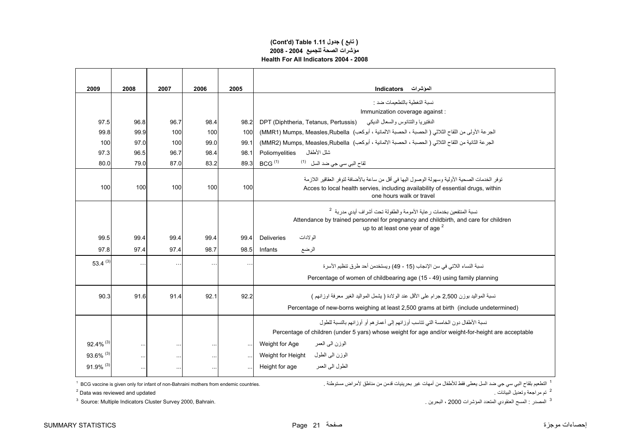### **مؤشرات الصحة للجميع 2004 - 2008 Health For All Indicators 2004 - 2008 (Cont'd) Table 1.11 جدول ) تابع(**

| 2009                    | 2008     | 2007      | 2006      | 2005      | المؤشرات Indicators                                                                                                                                                                                                  |  |
|-------------------------|----------|-----------|-----------|-----------|----------------------------------------------------------------------------------------------------------------------------------------------------------------------------------------------------------------------|--|
|                         |          |           |           |           | نسبة التغطبة بالتطعيمات ضد :                                                                                                                                                                                         |  |
|                         |          |           |           |           | Immunization coverage against :                                                                                                                                                                                      |  |
| 97.5                    | 96.8     | 96.7      | 98.4      | 98.2      | الدفتيريا والتتانوس والسعال الديكي     DPT (Diphtheria, Tetanus, Pertussis)                                                                                                                                          |  |
| 99.8                    | 99.9     | 100       | 100       | 100       | الجرعة الأولى من اللقاح الثلاثي ( الحصبة ، الحصبة الالمانية ، أبوكعب) MMR1) Mumps, Measles,Rubella)                                                                                                                  |  |
| 100                     | 97.0     | 100       | 99.0      | 99.1      | الجرعة الثانية من اللقاح الثلاثي ( الحصبة ، الحصبة الالمانية ، أبوكعب)  MMR2) Mumps, Measles,Rubella)                                                                                                                |  |
| 97.3                    | 96.5     | 96.7      | 98.4      | 98.1      | شلل الأطفال<br>Poliomyelities                                                                                                                                                                                        |  |
| 80.0                    | 79.0     | 87.0      | 83.2      | 89.3      | BCG <sup>(1)</sup><br>لقاح الب <i>ي</i> سي جي ضد السل <sup>(1)</sup>                                                                                                                                                 |  |
| 100                     | 100      | 100       | 100       | 100       | توفر الخدمات الصحية الأولية وسهولة الوصول اليها في أقل من ساعة بالأضافة لتوفر العقاقير اللازمة<br>Acces to local health servies, including availability of essential drugs, within<br>one hours walk or travel       |  |
|                         |          |           |           |           | نسبة المنتفعين بخدمات رعاية الأمومة والطفولة تحت أشراف أيدى مدربة <sup>2</sup><br>Attendance by trained personnel for pregnancy and childbirth, and care for children<br>up to at least one year of age <sup>2</sup> |  |
| 99.5                    | 99.4     | 99.4      | 99.4      | 99.4      | الو لادات<br><b>Deliveries</b>                                                                                                                                                                                       |  |
| 97.8                    | 97.4     | 97.4      | 98.7      | 98.5      | Infants<br>الرضع                                                                                                                                                                                                     |  |
| 53.4 $(3)$              | $\sim$ . |           | $\ddotsc$ | $\sim$    | نسبة النساء اللاتي في سن الإنجاب (15 - 49) ويستخدمن أحد طر ق تنظيم الأسر ة                                                                                                                                           |  |
|                         |          |           |           |           | Percentage of women of childbearing age (15 - 49) using family planning                                                                                                                                              |  |
| 90.3                    | 91.6     | 91.4      | 92.1      | 92.2      | نسبة المواليد بوزن 2,500 جرام على الأقل عند الولادة ( يشمل المواليد الغير معرفة اوزانهم )<br>Percentage of new-borns weighing at least 2,500 grams at birth (include undetermined)                                   |  |
|                         |          |           |           |           | نسبة الأطفال دون الخامسة التي تتاسب أوزانهم إلى أعمار هم أو أوزانهم بالنسبة للطول<br>Percentage of children (under 5 yars) whose weight for age and/or weight-for-height are acceptable                              |  |
| $92.4\%$ <sup>(3)</sup> | $\ldots$ | $\cdots$  |           | $\sim$    | الوزن المي العمر<br>Weight for Age                                                                                                                                                                                   |  |
| 93.6% (3)               |          | $\ddotsc$ |           | $\ddotsc$ | الوزن الىي الطول<br>Weight for Height                                                                                                                                                                                |  |
| $91.9\%$ <sup>(3)</sup> | $\ldots$ |           |           | $\ddotsc$ | الطول البي العمر<br>Height for age                                                                                                                                                                                   |  |

 $2$  Data was reviewed and updated

 $3$  Source: Multiple Indicators Cluster Survey 2000, Bahrain.

1 التطعيم بلقاح البي سي جي ضد السل يعطى فقط للأطفال من أمهات غير بحرينيات قدمن من مناطق لأمراض مستوطنة .<br><sup>2</sup> تم مراجعة وتعنيل البيانات .

<sup>3</sup> المصدر : المسح العنقودي المتعدد المؤشرات 2000 ، البحرين .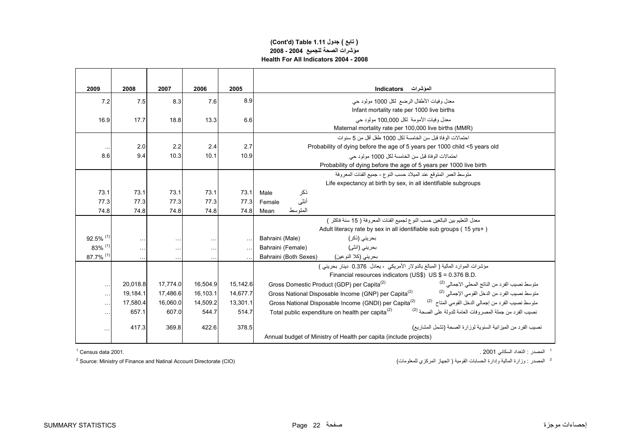# **مؤشرات الصحة للجميع 2004 - 2008 Health For All Indicators 2004 - 2008 (Cont'd) Table 1.11 جدول ) تابع(**

| 2009          | 2008      | 2007      | 2006      | 2005     | المؤشرات Indicators                                                                                                                 |  |
|---------------|-----------|-----------|-----------|----------|-------------------------------------------------------------------------------------------------------------------------------------|--|
| 7.2           | 7.5       | 8.3       | 7.6       | 8.9      | معدل وفيات الأطفال الرضع لكل 1000 مولود حي                                                                                          |  |
|               |           |           |           |          | Infant mortality rate per 1000 live births                                                                                          |  |
| 16.9          | 17.7      | 18.8      | 13.3      | 6.6      | معدل وفيات الأمومة لكل 100.000 مولود حي                                                                                             |  |
|               |           |           |           |          | Maternal mortality rate per 100,000 live births (MMR)                                                                               |  |
|               |           |           |           |          | احتمالات الوفاة قبل سن الخامسة لكل 1000 طفل أقل من 5 سنو ات                                                                         |  |
|               | 2.0       | 2.2       | 2.4       | 2.7      | Probability of dying before the age of 5 years per 1000 child <5 years old                                                          |  |
| 8.6           | 9.4       | 10.3      | 10.1      | 10.9     | احتمالات الوفاة قبل سن الخامسة لكل 1000 مولود حي                                                                                    |  |
|               |           |           |           |          | Probability of dying before the age of 5 years per 1000 live birth                                                                  |  |
|               |           |           |           |          | منَّوسط العمر المنوقع عند الميلاد حسب النوع - جميع الفئات المعر وفة                                                                 |  |
|               |           |           |           |          | Life expectancy at birth by sex, in all identifiable subgroups                                                                      |  |
| 73.1          | 73.1      | 73.1      | 73.1      | 73.1     | ذكر<br>Male                                                                                                                         |  |
| 77.3          | 77.3      | 77.3      | 77.3      | 77.3     | أنثى<br>Female                                                                                                                      |  |
| 74.8          | 74.8      | 74.8      | 74.8      | 74.8     | المتوسط<br>Mean                                                                                                                     |  |
|               |           |           |           |          | معدل التعليم بين البالغين حسب النو ع لجميع الفئات المعر وفة ( 15 سنة فاكثر )                                                        |  |
|               |           |           |           |          | Adult literacy rate by sex in all identifiable sub groups (15 yrs+)                                                                 |  |
| 92.5% (1)     | $\cdots$  | $\ddotsc$ | $\ddotsc$ |          | Bahraini (Male)<br>بحريني (ذكر)                                                                                                     |  |
| 83% (1)       | $\ddotsc$ | $\ddotsc$ | $\ldots$  |          | بحريني (انثى)<br>Bahraini (Female)                                                                                                  |  |
| 87.7% (1)     |           | $\ddotsc$ |           |          | Bahraini (Both Sexes)<br>بحريني (كلا النو عين)                                                                                      |  |
|               |           |           |           |          | مؤشرات الموارد المالية ( المبالغ بالدولار الأمريكي ، يعادل 0.376 دينار بحريني )                                                     |  |
|               |           |           |           |          | Financial resources indicators (US\$) US \$ = 0.376 B.D.                                                                            |  |
| $\ddotsc$     | 20,018.8  | 17,774.0  | 16,504.9  | 15,142.6 | متوسط نصبب الفرد من الناتج المحلي الاجمالي <sup>(2)</sup><br>Gross Domestic Product (GDP) per Capita <sup>(2)</sup>                 |  |
| $\cdots$      | 19,184.1  | 17,486.6  | 16,103.1  | 14,677.7 | متوسط نصيب الفرد من الدخل القومي الإجمالي <sup>(2)</sup><br>Gross National Disposable Income (GNP) per Capita <sup>(2)</sup>        |  |
| $\ddotsc$     | 17.580.4  | 16.060.0  | 14.509.2  | 13.301.1 | متوسط نصيب الفرد من إجمالي الدخل القومي المتاح <sup>(2)</sup><br>Gross National Disposable Income (GNDI) per Capita <sup>(2)</sup>  |  |
| $\cdots$      | 657.1     | 607.0     | 544.7     | 514.7    | نصيب الفرد من جملة المصروفات العامة للدولة على الصحة <sup>(2)</sup><br>Total public expenditure on health per capita <sup>(2)</sup> |  |
| $\sim$ $\sim$ | 417.3     | 369.8     | 422.6     | 378.5    | نصيب الفر د من الميز انية السنوية لوز ار ة الصحة (تشمل المشار يع)                                                                   |  |
|               |           |           |           |          | Annual budget of Ministry of Health per capita (include projects)                                                                   |  |

1 المصدر : التعداد السكاني 2001 . 2001. data Census 1

 $12$  Source: Ministry of Finance and Natinal Account Directorate (CIO)

<sup>2</sup> المصدر : وزارة المالية وإدارة الحسابات القومية ( الجهاز المركزي للمعلومات)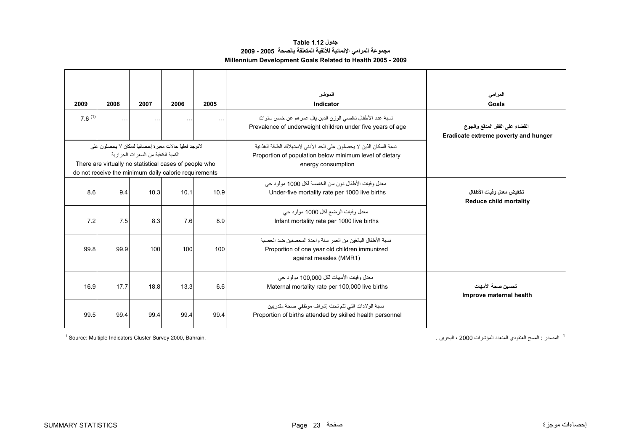| جدول Table 1.12                                               |  |
|---------------------------------------------------------------|--|
| مجموعة المرامي الإنمائية للألفية المتعلقة بالصحة  2005 - 2009 |  |
| Millennium Development Goals Related to Health 2005 - 2009    |  |

<span id="page-23-0"></span>

| 2009<br>$76^{(1)}$ | 2008<br>$\sim$ $\sim$                                                                                                                                                     | 2007<br>$\ddotsc$                     | 2006<br>$\ldots$ | 2005<br>$\sim$ $\sim$ | المؤشر<br>Indicator<br>نسبة عدد الأطفال ناقصبي الوزن الذين يقل عمر هم عن خمس سنوات<br>Prevalence of underweight children under five years of age      | المرامى<br>Goals<br>القضاء على الفقر المدقع والجوع        |  |  |
|--------------------|---------------------------------------------------------------------------------------------------------------------------------------------------------------------------|---------------------------------------|------------------|-----------------------|-------------------------------------------------------------------------------------------------------------------------------------------------------|-----------------------------------------------------------|--|--|
|                    | لاتوجد فعلياً حالات معبرة إحصائياً لسكان لا يحصلون على<br>There are virtually no statistical cases of people who<br>do not receive the minimum daily calorie requirements | الكمبة الكافية من السعر ات الحر ار بة |                  |                       | نسبة السكان الذين لا يحصلون على الحد الأدنى لاستهلاك الطاقة الغذائية<br>Proportion of population below minimum level of dietary<br>energy consumption | Eradicate extreme poverty and hunger                      |  |  |
| 8.6                | 9.4                                                                                                                                                                       | 10.3                                  | 10.1             | 10.9                  | معدل وفيات الأطفال دون سن الخامسة لكل 1000 مولود حي<br>Under-five mortality rate per 1000 live births                                                 | تخفيض معدل وفيات الأطفال<br><b>Reduce child mortality</b> |  |  |
| 7.2                | 7.5                                                                                                                                                                       | 8.3                                   | 7.6              | 8.9                   | معدل وفيات الرضع لكل 1000 مولود حي<br>Infant mortality rate per 1000 live births                                                                      |                                                           |  |  |
| 99.8               | 99.9                                                                                                                                                                      | 100                                   | 100              | 100                   | نسبة الأطفال البالغين من العمر  سنة و احدة المحصنين ضد الحصبة<br>Proportion of one year old children immunized<br>against measles (MMR1)              |                                                           |  |  |
| 16.9               | 17.7                                                                                                                                                                      | 18.8                                  | 13.3             | 6.6                   | معدل وفيات الأمهات لكل 100.000 مولود حي<br>Maternal mortality rate per 100,000 live births                                                            | تحسبن صحة الأمهات<br>Improve maternal health              |  |  |
| 99.5               | 99.4                                                                                                                                                                      | 99.4                                  | 99.4             | 99.4                  | نسبة الولادات التي تتم تحت إشراف موظفي صحة متدربين<br>Proportion of births attended by skilled health personnel                                       |                                                           |  |  |

 $<sup>1</sup>$  Source: Multiple Indicators Cluster Survey 2000, Bahrain.</sup>

<sup>1</sup> المصدر : المسح العنقودي المتعدد المؤشرات 2000 ، البحرين <sub>.</sub>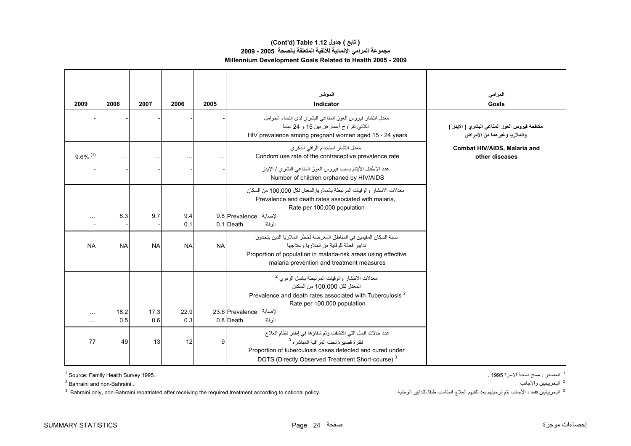# **(Cont'd) Table 1.12 جدول ) تابع( مجموعة المرامي الإنمائية للألفية المتعلقة بالصحة 2005 - 2009 Millennium Development Goals Related to Health 2005 - 2009**

| 2009                   | 2008        | 2007        | 2006                 | 2005      | الموشر<br>Indicator                                                                                                                                                                                                                          | المرامى<br>Goals                                                                |
|------------------------|-------------|-------------|----------------------|-----------|----------------------------------------------------------------------------------------------------------------------------------------------------------------------------------------------------------------------------------------------|---------------------------------------------------------------------------------|
|                        |             |             |                      |           | معدل انتشار فيروس العوز المناعي البشري لدى النساء الحوامل<br>اللائي نتراوح أعمار هن بين 15 و 24 عاماً<br>HIV prevalence among pregnant women aged 15 - 24 years                                                                              | مكافحة فيروس العوز المناعي البشري ( الإيدز )<br>و الملاريا وغير هما من الأمر اض |
| $9.6\%$ <sup>(1)</sup> |             |             | $\ddot{\phantom{0}}$ |           | معدل انتشار استخدام الواقى الذكرى<br>Condom use rate of the contraceptive prevalence rate                                                                                                                                                    | Combat HIV/AIDS, Malaria and<br>other diseases                                  |
|                        |             |             |                      |           | عدد الأطفال الأيتام بسبب فيروس العوز المناعي البشري / الإيدز<br>Number of children orphaned by HIV/AIDS                                                                                                                                      |                                                                                 |
| . .                    | 8.3         | 9.7         | 9.4<br>0.1           |           | معدلات الانتشار والوفيات المرتبطة بالملاريا المعدل لكل 100,000 من السكان<br>Prevalence and death rates associated with malaria.<br>Rate per 100,000 population<br>الإصابة 9.8 Prevalence<br>الوفاة<br>0.1 Death                              |                                                                                 |
| <b>NA</b>              | <b>NA</b>   | <b>NA</b>   | <b>NA</b>            | <b>NA</b> | نسبة السكان المقيمين في المناطق المعر ضنة لخطر  الملار يا الذين يتخذو ن<br>تدابير فعالة للوقاية من الملار با و علاجها<br>Proportion of population in malaria-risk areas using effective<br>malaria prevention and treatment measures         |                                                                                 |
|                        |             |             |                      |           | معدلات الانتشار والوفيات المرتبطة بالسل الرئوي <sup>2</sup><br>المعدل لكل 100.000 من السكان<br>Prevalence and death rates associated with Tuberculosis <sup>2</sup><br>Rate per 100,000 population                                           |                                                                                 |
| $\sim$ .<br>$\ddotsc$  | 18.2<br>0.5 | 17.3<br>0.6 | 22.9<br>0.3          |           | الإصابة 23.6 Prevalence<br>0.8 Death<br>الو فاة                                                                                                                                                                                              |                                                                                 |
| 77                     | 49          | 13          | 12                   | 9         | عدد حالات السل التي اكتشفت وتم شفاؤها في إطار نظام العلاج<br>لفتر ة قصير ة تحت المر اقبة المباشر ة <sup>3</sup><br>Proportion of tuberculosis cases detected and cured under<br>DOTS (Directly Observed Treatment Short-course) <sup>3</sup> |                                                                                 |

 $1$  Source: Family Health Survey 1995.

<sup>2</sup> Bahraini and non-Bahraini.

 $^3$  Bahraini only, non-Bahraini repatriated after receiving the required treatment according to national policy. البحريينيين فقط ، الأجانب يتم ترحيلهم بعد تلقيهم العلاج المناسب طبقا للتدابير الوطنية .

<sup>1</sup> المصدر : مسح صحة الاسرة 1995 .

<sup>2</sup> البحريينيين والأجانب .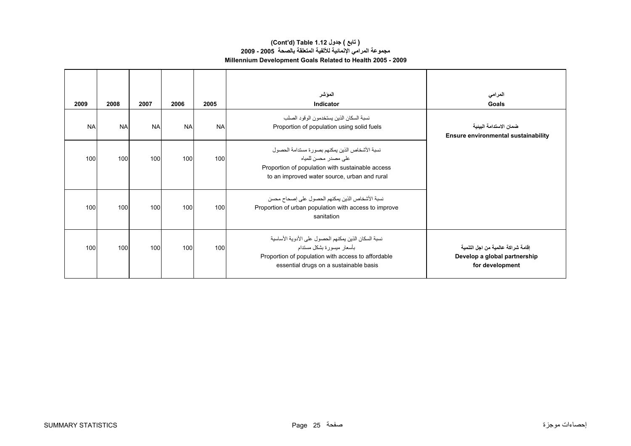# **Millennium Development Goals Related to Health 2005 - 2009 (Cont'd) Table 1.12 جدول ) تابع( مجموعة المرامي الإنمائية للألفية المتعلقة بالصحة 2005 - 2009**

| 2009      | 2008      | 2007      | 2006      | 2005      | الموشر<br>Indicator                                                                                                                                                               | المرامي<br>Goals                                                                      |
|-----------|-----------|-----------|-----------|-----------|-----------------------------------------------------------------------------------------------------------------------------------------------------------------------------------|---------------------------------------------------------------------------------------|
| <b>NA</b> | <b>NA</b> | <b>NA</b> | <b>NA</b> | <b>NA</b> | نسبة السكان الذين يستخدمون الو قود الصلب<br>Proportion of population using solid fuels                                                                                            | ضمان الاستدامة البينية<br>Ensure environmental sustainability                         |
| 100       | 100       | 100       | 100       | 100       | نسبة الأشخاص الذين يمكنهم بصورة مستدامة الحصول<br>علے مصدر  محسن للمیاہ<br>Proportion of population with sustainable access<br>to an improved water source, urban and rural       |                                                                                       |
| 100       | 100       | 100       | 100       | 100       | نسبة الأشخاص الذين يمكنهم الحصول على إصحاح محسن<br>Proportion of urban population with access to improve<br>sanitation                                                            |                                                                                       |
| 100       | 100       | 100       | 100       | 100       | نسبة السكان الذين يمكنهم الحصول على الأدوية الأساسية<br>بأسعار ميسورة بشكل مستدام<br>Proportion of population with access to affordable<br>essential drugs on a sustainable basis | اِقامة شراكة عالمية من اجل التنمية<br>Develop a global partnership<br>for development |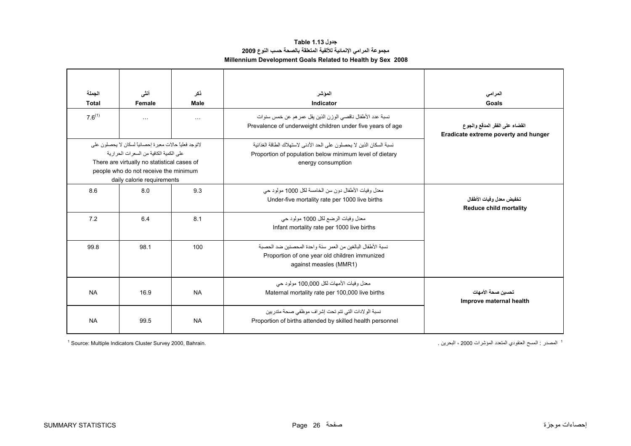# **Millennium Development Goals Related to Health by Sex 2008 جدول 1.13 Table مجموعة المرامي الإنمائية للألفية المتعلقة بالصحة حسب النوع <sup>2009</sup>**

<span id="page-26-0"></span>

| الحملة<br><b>Total</b> | أنشى<br>Female                                                                                                                                                                                                               | ذکر<br>Male          | الموشر<br>Indicator                                                                                                                                   | المرامى<br>Goals                                                       |
|------------------------|------------------------------------------------------------------------------------------------------------------------------------------------------------------------------------------------------------------------------|----------------------|-------------------------------------------------------------------------------------------------------------------------------------------------------|------------------------------------------------------------------------|
| $7.6^{(1)}$            | $\cdots$                                                                                                                                                                                                                     | $\sim$ $\sim$ $\sim$ | نسبة عدد الأطفال ناقصبي الوزن الذين يقل عمر هم عن خمس سنوات<br>Prevalence of underweight children under five years of age                             | القضاء على الفقر المدقع والجوع<br>Eradicate extreme poverty and hunger |
|                        | لاتوجد فعلياً حالات معبر ة احصـائياً لسكان لا بـحصلون على<br>على الكمية الكافية من السعر ات الحر ار ية<br>There are virtually no statistical cases of<br>people who do not receive the minimum<br>daily calorie requirements |                      | نسبة السكان الذين لا بحصلون على الحد الأدنى لاستهلاك الطاقة الغذائبة<br>Proportion of population below minimum level of dietary<br>energy consumption |                                                                        |
| 8.6                    | 8.0                                                                                                                                                                                                                          | 9.3                  | معدل وفيات الأطفال دون سن الخامسة لكل 1000 مولود حي<br>Under-five mortality rate per 1000 live births                                                 | تخفيض معدل و فيات الأطفال<br><b>Reduce child mortality</b>             |
| 7.2                    | 6.4                                                                                                                                                                                                                          | 8.1                  | معدل وفيات الرضع لكل 1000 مولود حي<br>Infant mortality rate per 1000 live births                                                                      |                                                                        |
| 99.8                   | 98.1                                                                                                                                                                                                                         | 100                  | نسبة الأطفال البالغين من العمر  سنة و احدة المحصنين ضد الحصبة<br>Proportion of one year old children immunized<br>against measles (MMR1)              |                                                                        |
| <b>NA</b>              | 16.9                                                                                                                                                                                                                         | <b>NA</b>            | معدل وفيات الأمهات لكل 100.000 مولود حي<br>Maternal mortality rate per 100,000 live births                                                            | تحسين صحة الأمهات<br>Improve maternal health                           |
| <b>NA</b>              | 99.5                                                                                                                                                                                                                         | <b>NA</b>            | نسبة الولادات التي تتم تحت إشراف موظفي صحة متدربين<br>Proportion of births attended by skilled health personnel                                       |                                                                        |

<sup>1</sup> Source: Multiple Indicators Cluster Survey 2000, Bahrain.

<sup>1</sup> المصدر : المسح العنقودي المتعدد المؤشرات 2000 ، البحرين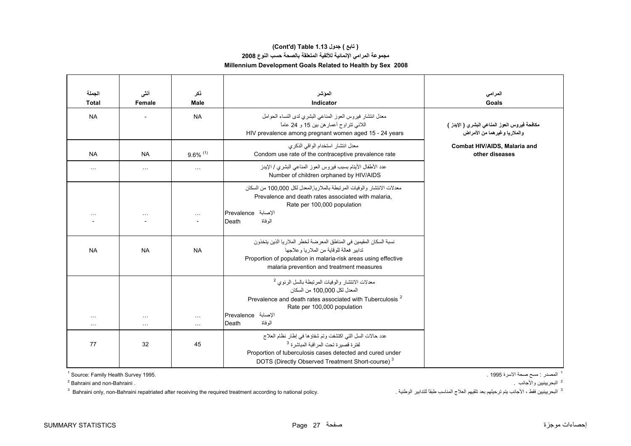# **مجموعة المرامي الإنمائية للألفية المتعلقة بالصحة حسب النوع <sup>2008</sup> Millennium Development Goals Related to Health by Sex 2008 (Cont'd) Table 1.13 جدول ) تابع(**

| الجملة<br><b>Total</b>                       | أننس<br>Female                    | ذكر<br>Male            | الموشر<br>Indicator                                                                                                                                                                                                                          | المرامى<br><b>Goals</b>                                                       |
|----------------------------------------------|-----------------------------------|------------------------|----------------------------------------------------------------------------------------------------------------------------------------------------------------------------------------------------------------------------------------------|-------------------------------------------------------------------------------|
| <b>NA</b>                                    |                                   | <b>NA</b>              | معدل انتشار فيروس العوز المناعي البشري لدى النساء الحوامل<br>اللائبي نتراوح أعمار هن بين 15 و 24 عاماً<br>HIV prevalence among pregnant women aged 15 - 24 years                                                                             | مكافحة فيروس العوز المناعي البشري ( الإيدز )<br>والملاريا وغير هما من الأمراض |
| <b>NA</b>                                    | <b>NA</b>                         | $9.6\%$ <sup>(1)</sup> | معدل انتشار استخدام الواقي الذكر ي<br>Condom use rate of the contraceptive prevalence rate                                                                                                                                                   | Combat HIV/AIDS, Malaria and<br>other diseases                                |
| $\cdots$                                     | $\cdots$                          | $\cdots$               | عدد الأطفال الأيتام بسبب فيروس العوز المناعي البشري / الإيدز<br>Number of children orphaned by HIV/AIDS                                                                                                                                      |                                                                               |
| $\cdots$                                     | $\sim$ $\sim$                     | $\sim$ .               | معدلات الانتشار والوفيات المرتبطة بالملاريا المعدل لكل 100,000 من السكان<br>Prevalence and death rates associated with malaria.<br>Rate per 100,000 population<br>الإصابة Prevalence<br>الو فاة<br>Death                                     |                                                                               |
| <b>NA</b>                                    | <b>NA</b>                         | <b>NA</b>              | نسبة السكان المقيمين في المناطق المعرضة لخطر الملاريا الذين يتخذون<br>تدابير فعالة للوقاية من الملار يا و علاجها<br>Proportion of population in malaria-risk areas using effective<br>malaria prevention and treatment measures              |                                                                               |
| $\sim$ $\sim$ $\sim$<br>$\sim$ $\sim$ $\sim$ | $\ddotsc$<br>$\sim$ $\sim$ $\sim$ | $\cdots$<br>$\cdots$   | معدلات الانتشار والوفيات المرتبطة بالسل الرئوي <sup>2</sup><br>المعدل لكل 100,000 من السكان<br>Prevalence and death rates associated with Tuberculosis <sup>2</sup><br>Rate per 100,000 population<br>الإصابة Prevalence<br>الو فاة<br>Death |                                                                               |
| 77                                           | 32                                | 45                     | عدد حالات السل التي اكتشفت وتم شفاؤها في إطار نظام العلاج<br>لفترة قصيرة تحت المراقبة المباشرة <sup>3</sup><br>Proportion of tuberculosis cases detected and cured under<br>DOTS (Directly Observed Treatment Short-course) <sup>3</sup>     |                                                                               |

 $1$  Source: Family Health Survey 1995.

2 Bahraini and non-Bahraini .

<sup>1</sup> المصدر : مسح صحة الاسرة 1995 .

<sup>2</sup> البحريينيين والأجانب <sub>.</sub>

 $^3$  Bahraini only, non-Bahraini repatriated after receiving the required treatment according to national policy. البحريينيين فقط ، الأجانب يتم ترحيلهم بعد تلقيهم العلاج المناسب طبقاً للتدابير الوطنية .